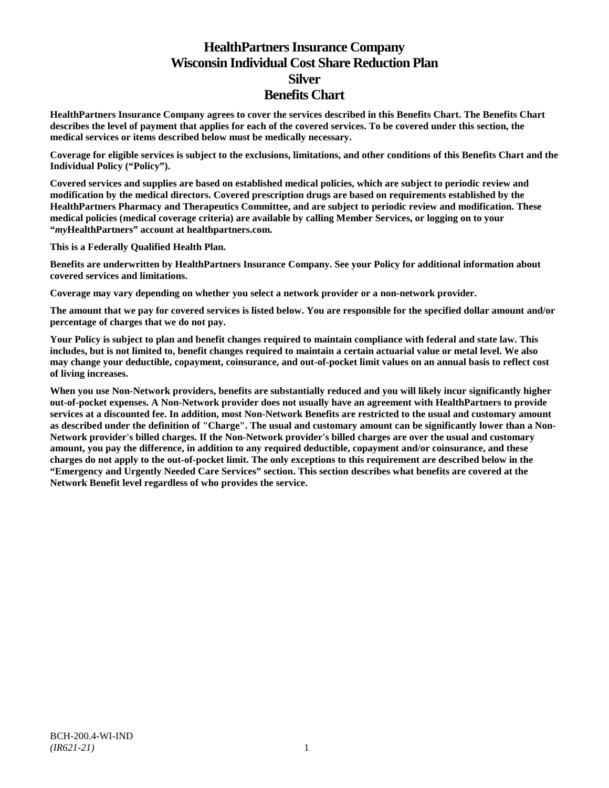# **HealthPartners Insurance Company Wisconsin Individual Cost Share Reduction Plan Silver Benefits Chart**

**HealthPartners Insurance Company agrees to cover the services described in this Benefits Chart. The Benefits Chart describes the level of payment that applies for each of the covered services. To be covered under this section, the medical services or items described below must be medically necessary.**

**Coverage for eligible services is subject to the exclusions, limitations, and other conditions of this Benefits Chart and the Individual Policy ("Policy").**

**Covered services and supplies are based on established medical policies, which are subject to periodic review and modification by the medical directors. Covered prescription drugs are based on requirements established by the HealthPartners Pharmacy and Therapeutics Committee, and are subject to periodic review and modification. These medical policies (medical coverage criteria) are available by calling Member Services, or logging on to your "***my***HealthPartners" account at [healthpartners.com.](http://www.healthpartners.com/)**

**This is a Federally Qualified Health Plan.**

**Benefits are underwritten by HealthPartners Insurance Company. See your Policy for additional information about covered services and limitations.**

**Coverage may vary depending on whether you select a network provider or a non-network provider.**

**The amount that we pay for covered services is listed below. You are responsible for the specified dollar amount and/or percentage of charges that we do not pay.**

**Your Policy is subject to plan and benefit changes required to maintain compliance with federal and state law. This includes, but is not limited to, benefit changes required to maintain a certain actuarial value or metal level. We also may change your deductible, copayment, coinsurance, and out-of-pocket limit values on an annual basis to reflect cost of living increases.**

**When you use Non-Network providers, benefits are substantially reduced and you will likely incur significantly higher out-of-pocket expenses. A Non-Network provider does not usually have an agreement with HealthPartners to provide services at a discounted fee. In addition, most Non-Network Benefits are restricted to the usual and customary amount as described under the definition of "Charge". The usual and customary amount can be significantly lower than a Non-Network provider's billed charges. If the Non-Network provider's billed charges are over the usual and customary amount, you pay the difference, in addition to any required deductible, copayment and/or coinsurance, and these charges do not apply to the out-of-pocket limit. The only exceptions to this requirement are described below in the "Emergency and Urgently Needed Care Services" section. This section describes what benefits are covered at the Network Benefit level regardless of who provides the service.**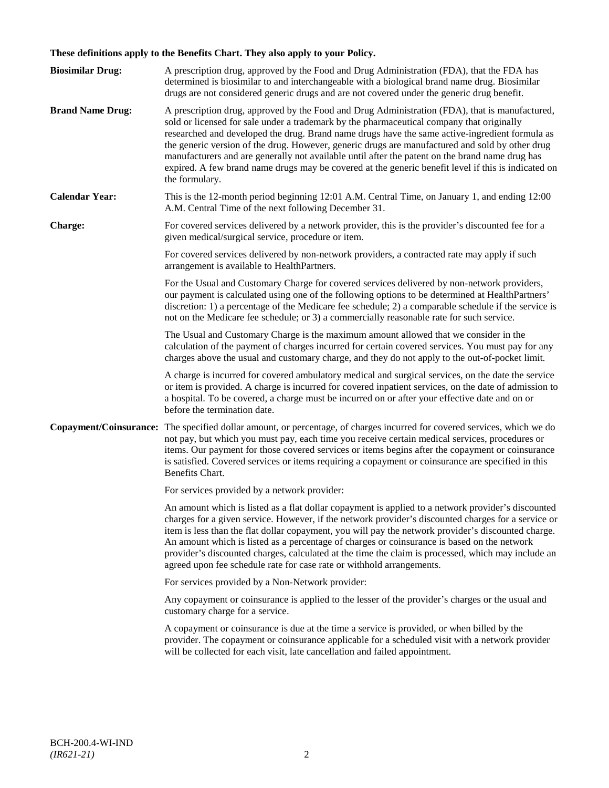# **These definitions apply to the Benefits Chart. They also apply to your Policy.**

| <b>Biosimilar Drug:</b> | A prescription drug, approved by the Food and Drug Administration (FDA), that the FDA has<br>determined is biosimilar to and interchangeable with a biological brand name drug. Biosimilar                                                                                                                                                                                                                                                                                                                                                                                                                                                                                                                                 |
|-------------------------|----------------------------------------------------------------------------------------------------------------------------------------------------------------------------------------------------------------------------------------------------------------------------------------------------------------------------------------------------------------------------------------------------------------------------------------------------------------------------------------------------------------------------------------------------------------------------------------------------------------------------------------------------------------------------------------------------------------------------|
| <b>Brand Name Drug:</b> | drugs are not considered generic drugs and are not covered under the generic drug benefit.<br>A prescription drug, approved by the Food and Drug Administration (FDA), that is manufactured,<br>sold or licensed for sale under a trademark by the pharmaceutical company that originally<br>researched and developed the drug. Brand name drugs have the same active-ingredient formula as<br>the generic version of the drug. However, generic drugs are manufactured and sold by other drug<br>manufacturers and are generally not available until after the patent on the brand name drug has<br>expired. A few brand name drugs may be covered at the generic benefit level if this is indicated on<br>the formulary. |
| <b>Calendar Year:</b>   | This is the 12-month period beginning 12:01 A.M. Central Time, on January 1, and ending 12:00<br>A.M. Central Time of the next following December 31.                                                                                                                                                                                                                                                                                                                                                                                                                                                                                                                                                                      |
| Charge:                 | For covered services delivered by a network provider, this is the provider's discounted fee for a<br>given medical/surgical service, procedure or item.                                                                                                                                                                                                                                                                                                                                                                                                                                                                                                                                                                    |
|                         | For covered services delivered by non-network providers, a contracted rate may apply if such<br>arrangement is available to HealthPartners.                                                                                                                                                                                                                                                                                                                                                                                                                                                                                                                                                                                |
|                         | For the Usual and Customary Charge for covered services delivered by non-network providers,<br>our payment is calculated using one of the following options to be determined at HealthPartners'<br>discretion: 1) a percentage of the Medicare fee schedule; 2) a comparable schedule if the service is<br>not on the Medicare fee schedule; or 3) a commercially reasonable rate for such service.                                                                                                                                                                                                                                                                                                                        |
|                         | The Usual and Customary Charge is the maximum amount allowed that we consider in the<br>calculation of the payment of charges incurred for certain covered services. You must pay for any<br>charges above the usual and customary charge, and they do not apply to the out-of-pocket limit.                                                                                                                                                                                                                                                                                                                                                                                                                               |
|                         | A charge is incurred for covered ambulatory medical and surgical services, on the date the service<br>or item is provided. A charge is incurred for covered inpatient services, on the date of admission to<br>a hospital. To be covered, a charge must be incurred on or after your effective date and on or<br>before the termination date.                                                                                                                                                                                                                                                                                                                                                                              |
| Copayment/Coinsurance:  | The specified dollar amount, or percentage, of charges incurred for covered services, which we do<br>not pay, but which you must pay, each time you receive certain medical services, procedures or<br>items. Our payment for those covered services or items begins after the copayment or coinsurance<br>is satisfied. Covered services or items requiring a copayment or coinsurance are specified in this<br>Benefits Chart.                                                                                                                                                                                                                                                                                           |
|                         | For services provided by a network provider:                                                                                                                                                                                                                                                                                                                                                                                                                                                                                                                                                                                                                                                                               |
|                         | An amount which is listed as a flat dollar copayment is applied to a network provider's discounted<br>charges for a given service. However, if the network provider's discounted charges for a service or<br>item is less than the flat dollar copayment, you will pay the network provider's discounted charge.<br>An amount which is listed as a percentage of charges or coinsurance is based on the network<br>provider's discounted charges, calculated at the time the claim is processed, which may include an<br>agreed upon fee schedule rate for case rate or withhold arrangements.                                                                                                                             |
|                         | For services provided by a Non-Network provider:                                                                                                                                                                                                                                                                                                                                                                                                                                                                                                                                                                                                                                                                           |
|                         | Any copayment or coinsurance is applied to the lesser of the provider's charges or the usual and<br>customary charge for a service.                                                                                                                                                                                                                                                                                                                                                                                                                                                                                                                                                                                        |
|                         | A copayment or coinsurance is due at the time a service is provided, or when billed by the<br>provider. The copayment or coinsurance applicable for a scheduled visit with a network provider<br>will be collected for each visit, late cancellation and failed appointment.                                                                                                                                                                                                                                                                                                                                                                                                                                               |
|                         |                                                                                                                                                                                                                                                                                                                                                                                                                                                                                                                                                                                                                                                                                                                            |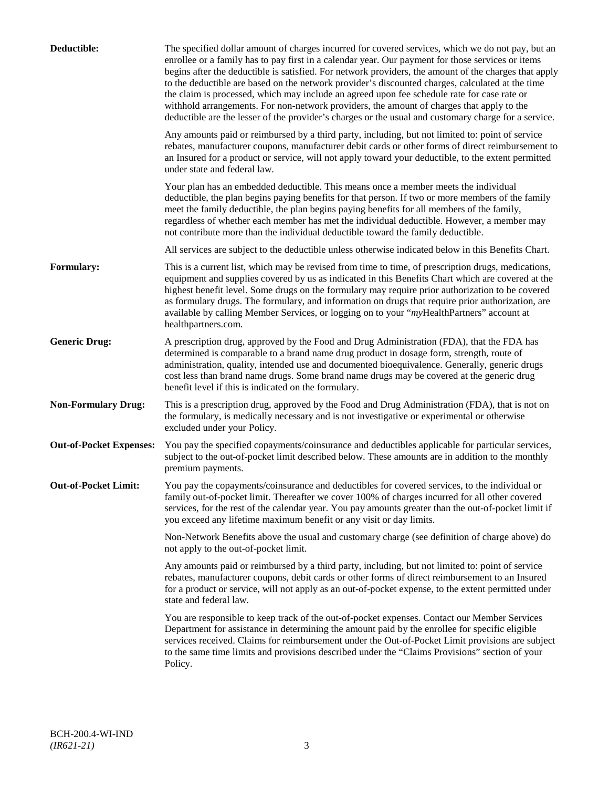| Deductible:                    | The specified dollar amount of charges incurred for covered services, which we do not pay, but an<br>enrollee or a family has to pay first in a calendar year. Our payment for those services or items<br>begins after the deductible is satisfied. For network providers, the amount of the charges that apply<br>to the deductible are based on the network provider's discounted charges, calculated at the time<br>the claim is processed, which may include an agreed upon fee schedule rate for case rate or<br>withhold arrangements. For non-network providers, the amount of charges that apply to the<br>deductible are the lesser of the provider's charges or the usual and customary charge for a service. |
|--------------------------------|-------------------------------------------------------------------------------------------------------------------------------------------------------------------------------------------------------------------------------------------------------------------------------------------------------------------------------------------------------------------------------------------------------------------------------------------------------------------------------------------------------------------------------------------------------------------------------------------------------------------------------------------------------------------------------------------------------------------------|
|                                | Any amounts paid or reimbursed by a third party, including, but not limited to: point of service<br>rebates, manufacturer coupons, manufacturer debit cards or other forms of direct reimbursement to<br>an Insured for a product or service, will not apply toward your deductible, to the extent permitted<br>under state and federal law.                                                                                                                                                                                                                                                                                                                                                                            |
|                                | Your plan has an embedded deductible. This means once a member meets the individual<br>deductible, the plan begins paying benefits for that person. If two or more members of the family<br>meet the family deductible, the plan begins paying benefits for all members of the family,<br>regardless of whether each member has met the individual deductible. However, a member may<br>not contribute more than the individual deductible toward the family deductible.                                                                                                                                                                                                                                                |
|                                | All services are subject to the deductible unless otherwise indicated below in this Benefits Chart.                                                                                                                                                                                                                                                                                                                                                                                                                                                                                                                                                                                                                     |
| <b>Formulary:</b>              | This is a current list, which may be revised from time to time, of prescription drugs, medications,<br>equipment and supplies covered by us as indicated in this Benefits Chart which are covered at the<br>highest benefit level. Some drugs on the formulary may require prior authorization to be covered<br>as formulary drugs. The formulary, and information on drugs that require prior authorization, are<br>available by calling Member Services, or logging on to your "myHealthPartners" account at<br>healthpartners.com.                                                                                                                                                                                   |
| <b>Generic Drug:</b>           | A prescription drug, approved by the Food and Drug Administration (FDA), that the FDA has<br>determined is comparable to a brand name drug product in dosage form, strength, route of<br>administration, quality, intended use and documented bioequivalence. Generally, generic drugs<br>cost less than brand name drugs. Some brand name drugs may be covered at the generic drug<br>benefit level if this is indicated on the formulary.                                                                                                                                                                                                                                                                             |
| <b>Non-Formulary Drug:</b>     | This is a prescription drug, approved by the Food and Drug Administration (FDA), that is not on<br>the formulary, is medically necessary and is not investigative or experimental or otherwise<br>excluded under your Policy.                                                                                                                                                                                                                                                                                                                                                                                                                                                                                           |
| <b>Out-of-Pocket Expenses:</b> | You pay the specified copayments/coinsurance and deductibles applicable for particular services,<br>subject to the out-of-pocket limit described below. These amounts are in addition to the monthly<br>premium payments.                                                                                                                                                                                                                                                                                                                                                                                                                                                                                               |
| <b>Out-of-Pocket Limit:</b>    | You pay the copayments/coinsurance and deductibles for covered services, to the individual or<br>family out-of-pocket limit. Thereafter we cover 100% of charges incurred for all other covered<br>services, for the rest of the calendar year. You pay amounts greater than the out-of-pocket limit if<br>you exceed any lifetime maximum benefit or any visit or day limits.                                                                                                                                                                                                                                                                                                                                          |
|                                | Non-Network Benefits above the usual and customary charge (see definition of charge above) do<br>not apply to the out-of-pocket limit.                                                                                                                                                                                                                                                                                                                                                                                                                                                                                                                                                                                  |
|                                | Any amounts paid or reimbursed by a third party, including, but not limited to: point of service<br>rebates, manufacturer coupons, debit cards or other forms of direct reimbursement to an Insured<br>for a product or service, will not apply as an out-of-pocket expense, to the extent permitted under<br>state and federal law.                                                                                                                                                                                                                                                                                                                                                                                    |
|                                | You are responsible to keep track of the out-of-pocket expenses. Contact our Member Services<br>Department for assistance in determining the amount paid by the enrollee for specific eligible<br>services received. Claims for reimbursement under the Out-of-Pocket Limit provisions are subject<br>to the same time limits and provisions described under the "Claims Provisions" section of your<br>Policy.                                                                                                                                                                                                                                                                                                         |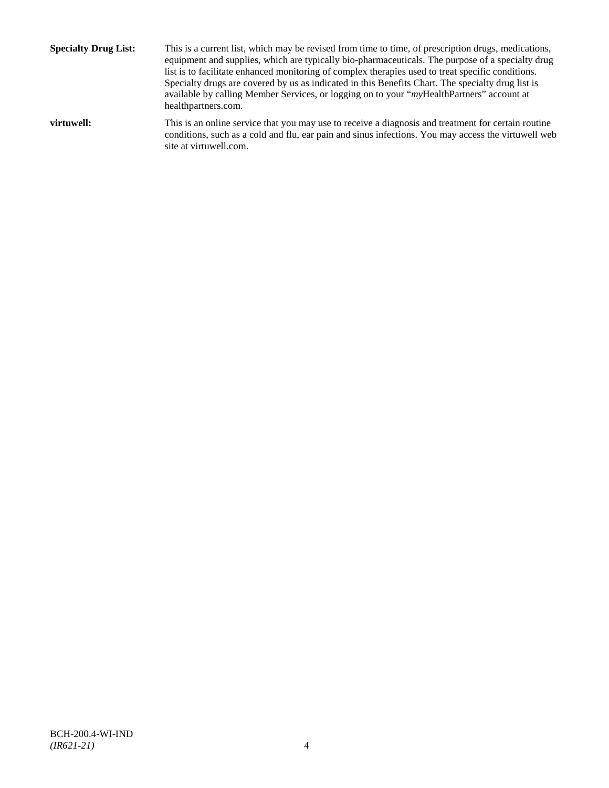**Specialty Drug List:** This is a current list, which may be revised from time to time, of prescription drugs, medications, equipment and supplies, which are typically bio-pharmaceuticals. The purpose of a specialty drug list is to facilitate enhanced monitoring of complex therapies used to treat specific conditions. Specialty drugs are covered by us as indicated in this Benefits Chart. The specialty drug list is available by calling Member Services, or logging on to your "*my*HealthPartners" account at [healthpartners.com.](http://www.healthpartners.com/) **virtuwell:** This is an online service that you may use to receive a diagnosis and treatment for certain routine conditions, such as a cold and flu, ear pain and sinus infections. You may access the virtuwell web

site a[t virtuwell.com.](http://www.virtuwell.com/)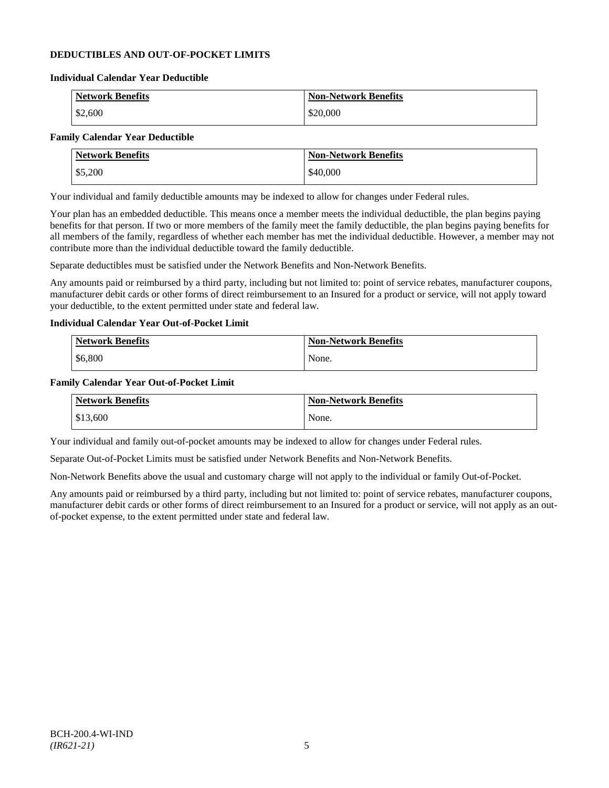### **DEDUCTIBLES AND OUT-OF-POCKET LIMITS**

#### **Individual Calendar Year Deductible**

| <b>Network Benefits</b> | <b>Non-Network Benefits</b> |
|-------------------------|-----------------------------|
| \$2,600                 | \$20,000                    |

# **Family Calendar Year Deductible**

| <b>Network Benefits</b> | <b>Non-Network Benefits</b> |
|-------------------------|-----------------------------|
| \$5,200                 | \$40,000                    |

Your individual and family deductible amounts may be indexed to allow for changes under Federal rules.

Your plan has an embedded deductible. This means once a member meets the individual deductible, the plan begins paying benefits for that person. If two or more members of the family meet the family deductible, the plan begins paying benefits for all members of the family, regardless of whether each member has met the individual deductible. However, a member may not contribute more than the individual deductible toward the family deductible.

Separate deductibles must be satisfied under the Network Benefits and Non-Network Benefits.

Any amounts paid or reimbursed by a third party, including but not limited to: point of service rebates, manufacturer coupons, manufacturer debit cards or other forms of direct reimbursement to an Insured for a product or service, will not apply toward your deductible, to the extent permitted under state and federal law.

### **Individual Calendar Year Out-of-Pocket Limit**

| <b>Network Benefits</b> | <b>Non-Network Benefits</b> |
|-------------------------|-----------------------------|
| \$6,800                 | None.                       |

#### **Family Calendar Year Out-of-Pocket Limit**

| <b>Network Benefits</b> | <b>Non-Network Benefits</b> |
|-------------------------|-----------------------------|
| \$13,600                | None.                       |

Your individual and family out-of-pocket amounts may be indexed to allow for changes under Federal rules.

Separate Out-of-Pocket Limits must be satisfied under Network Benefits and Non-Network Benefits.

Non-Network Benefits above the usual and customary charge will not apply to the individual or family Out-of-Pocket.

Any amounts paid or reimbursed by a third party, including but not limited to: point of service rebates, manufacturer coupons, manufacturer debit cards or other forms of direct reimbursement to an Insured for a product or service, will not apply as an outof-pocket expense, to the extent permitted under state and federal law.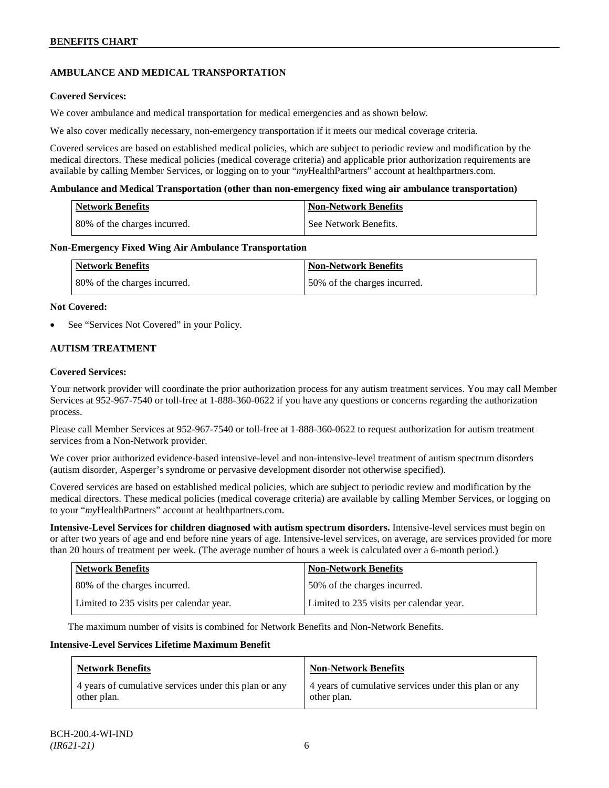# **AMBULANCE AND MEDICAL TRANSPORTATION**

### **Covered Services:**

We cover ambulance and medical transportation for medical emergencies and as shown below.

We also cover medically necessary, non-emergency transportation if it meets our medical coverage criteria.

Covered services are based on established medical policies, which are subject to periodic review and modification by the medical directors. These medical policies (medical coverage criteria) and applicable prior authorization requirements are available by calling Member Services, or logging on to your "*my*HealthPartners" account a[t healthpartners.com.](http://www.healthpartners.com/)

#### **Ambulance and Medical Transportation (other than non-emergency fixed wing air ambulance transportation)**

| Network Benefits             | <b>Non-Network Benefits</b> |
|------------------------------|-----------------------------|
| 80% of the charges incurred. | l See Network Benefits.     |

#### **Non-Emergency Fixed Wing Air Ambulance Transportation**

| <b>Network Benefits</b>      | <b>Non-Network Benefits</b>  |
|------------------------------|------------------------------|
| 80% of the charges incurred. | 50% of the charges incurred. |

#### **Not Covered:**

See "Services Not Covered" in your Policy.

### **AUTISM TREATMENT**

#### **Covered Services:**

Your network provider will coordinate the prior authorization process for any autism treatment services. You may call Member Services at 952-967-7540 or toll-free at 1-888-360-0622 if you have any questions or concerns regarding the authorization process.

Please call Member Services at 952-967-7540 or toll-free at 1-888-360-0622 to request authorization for autism treatment services from a Non-Network provider.

We cover prior authorized evidence-based intensive-level and non-intensive-level treatment of autism spectrum disorders (autism disorder, Asperger's syndrome or pervasive development disorder not otherwise specified).

Covered services are based on established medical policies, which are subject to periodic review and modification by the medical directors. These medical policies (medical coverage criteria) are available by calling Member Services, or logging on to your "*my*HealthPartners" account at [healthpartners.com.](http://www.healthpartners.com/)

**Intensive-Level Services for children diagnosed with autism spectrum disorders.** Intensive-level services must begin on or after two years of age and end before nine years of age. Intensive-level services, on average, are services provided for more than 20 hours of treatment per week. (The average number of hours a week is calculated over a 6-month period.)

| <b>Network Benefits</b>                  | <b>Non-Network Benefits</b>              |
|------------------------------------------|------------------------------------------|
| 80% of the charges incurred.             | 50% of the charges incurred.             |
| Limited to 235 visits per calendar year. | Limited to 235 visits per calendar year. |

The maximum number of visits is combined for Network Benefits and Non-Network Benefits.

#### **Intensive-Level Services Lifetime Maximum Benefit**

| <b>Network Benefits</b>                               | <b>Non-Network Benefits</b>                           |
|-------------------------------------------------------|-------------------------------------------------------|
| 4 years of cumulative services under this plan or any | 4 years of cumulative services under this plan or any |
| other plan.                                           | other plan.                                           |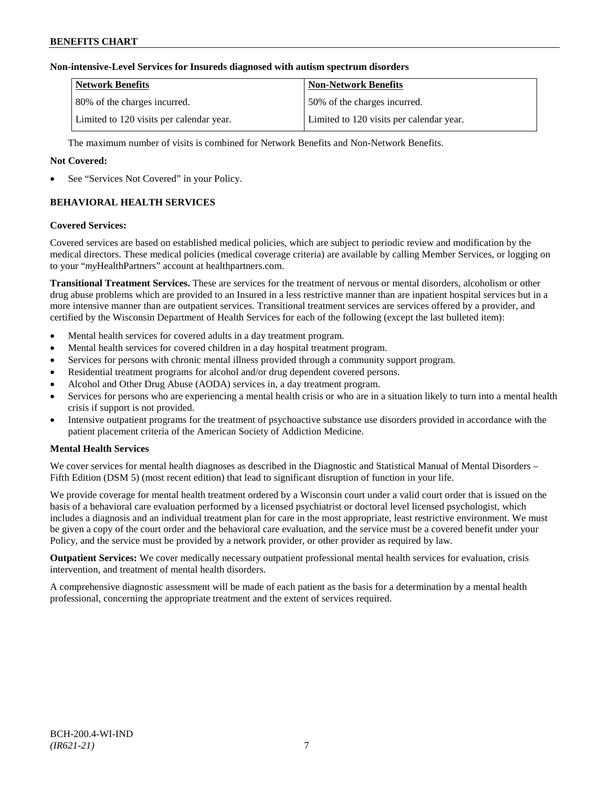### **Non-intensive-Level Services for Insureds diagnosed with autism spectrum disorders**

| <b>Network Benefits</b>                  | <b>Non-Network Benefits</b>              |
|------------------------------------------|------------------------------------------|
| 80% of the charges incurred.             | 150% of the charges incurred.            |
| Limited to 120 visits per calendar year. | Limited to 120 visits per calendar year. |

The maximum number of visits is combined for Network Benefits and Non-Network Benefits.

### **Not Covered:**

See "Services Not Covered" in your Policy.

# **BEHAVIORAL HEALTH SERVICES**

#### **Covered Services:**

Covered services are based on established medical policies, which are subject to periodic review and modification by the medical directors. These medical policies (medical coverage criteria) are available by calling Member Services, or logging on to your "*my*HealthPartners" account at [healthpartners.com.](http://www.healthpartners.com/)

**Transitional Treatment Services.** These are services for the treatment of nervous or mental disorders, alcoholism or other drug abuse problems which are provided to an Insured in a less restrictive manner than are inpatient hospital services but in a more intensive manner than are outpatient services. Transitional treatment services are services offered by a provider, and certified by the Wisconsin Department of Health Services for each of the following (except the last bulleted item):

- Mental health services for covered adults in a day treatment program.
- Mental health services for covered children in a day hospital treatment program.
- Services for persons with chronic mental illness provided through a community support program.
- Residential treatment programs for alcohol and/or drug dependent covered persons.
- Alcohol and Other Drug Abuse (AODA) services in, a day treatment program.
- Services for persons who are experiencing a mental health crisis or who are in a situation likely to turn into a mental health crisis if support is not provided.
- Intensive outpatient programs for the treatment of psychoactive substance use disorders provided in accordance with the patient placement criteria of the American Society of Addiction Medicine.

### **Mental Health Services**

We cover services for mental health diagnoses as described in the Diagnostic and Statistical Manual of Mental Disorders – Fifth Edition (DSM 5) (most recent edition) that lead to significant disruption of function in your life.

We provide coverage for mental health treatment ordered by a Wisconsin court under a valid court order that is issued on the basis of a behavioral care evaluation performed by a licensed psychiatrist or doctoral level licensed psychologist, which includes a diagnosis and an individual treatment plan for care in the most appropriate, least restrictive environment. We must be given a copy of the court order and the behavioral care evaluation, and the service must be a covered benefit under your Policy, and the service must be provided by a network provider, or other provider as required by law.

**Outpatient Services:** We cover medically necessary outpatient professional mental health services for evaluation, crisis intervention, and treatment of mental health disorders.

A comprehensive diagnostic assessment will be made of each patient as the basis for a determination by a mental health professional, concerning the appropriate treatment and the extent of services required.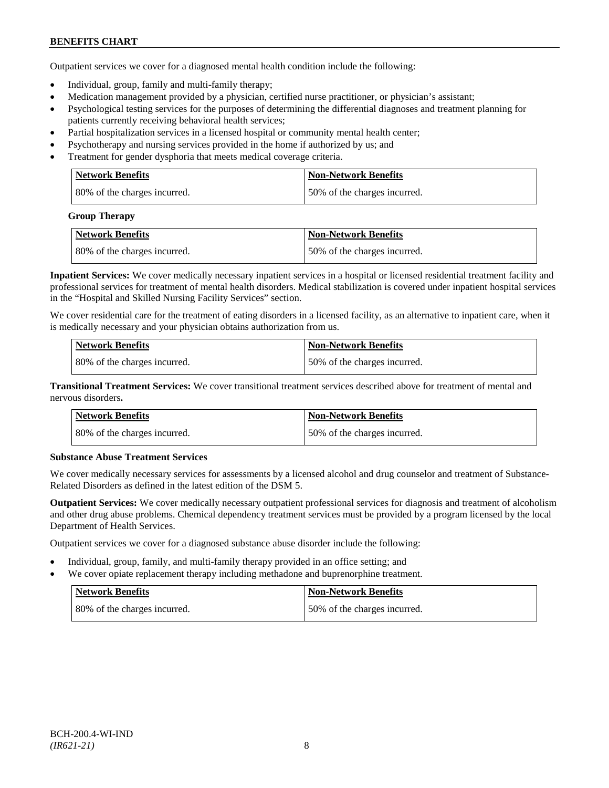Outpatient services we cover for a diagnosed mental health condition include the following:

- Individual, group, family and multi-family therapy;
- Medication management provided by a physician, certified nurse practitioner, or physician's assistant;
- Psychological testing services for the purposes of determining the differential diagnoses and treatment planning for patients currently receiving behavioral health services;
- Partial hospitalization services in a licensed hospital or community mental health center;
- Psychotherapy and nursing services provided in the home if authorized by us; and
- Treatment for gender dysphoria that meets medical coverage criteria.

| <b>Network Benefits</b>       | <b>Non-Network Benefits</b>  |
|-------------------------------|------------------------------|
| 180% of the charges incurred. | 50% of the charges incurred. |

#### **Group Therapy**

| <b>Network Benefits</b>      | <b>Non-Network Benefits</b>  |
|------------------------------|------------------------------|
| 80% of the charges incurred. | 50% of the charges incurred. |

**Inpatient Services:** We cover medically necessary inpatient services in a hospital or licensed residential treatment facility and professional services for treatment of mental health disorders. Medical stabilization is covered under inpatient hospital services in the "Hospital and Skilled Nursing Facility Services" section.

We cover residential care for the treatment of eating disorders in a licensed facility, as an alternative to inpatient care, when it is medically necessary and your physician obtains authorization from us.

| <b>Network Benefits</b>      | <b>Non-Network Benefits</b>  |
|------------------------------|------------------------------|
| 80% of the charges incurred. | 50% of the charges incurred. |

**Transitional Treatment Services:** We cover transitional treatment services described above for treatment of mental and nervous disorders**.**

| <b>Network Benefits</b>      | <b>Non-Network Benefits</b>   |
|------------------------------|-------------------------------|
| 80% of the charges incurred. | 150% of the charges incurred. |

### **Substance Abuse Treatment Services**

We cover medically necessary services for assessments by a licensed alcohol and drug counselor and treatment of Substance-Related Disorders as defined in the latest edition of the DSM 5.

**Outpatient Services:** We cover medically necessary outpatient professional services for diagnosis and treatment of alcoholism and other drug abuse problems. Chemical dependency treatment services must be provided by a program licensed by the local Department of Health Services.

Outpatient services we cover for a diagnosed substance abuse disorder include the following:

- Individual, group, family, and multi-family therapy provided in an office setting; and
- We cover opiate replacement therapy including methadone and buprenorphine treatment.

| Network Benefits             | Non-Network Benefits         |
|------------------------------|------------------------------|
| 80% of the charges incurred. | 50% of the charges incurred. |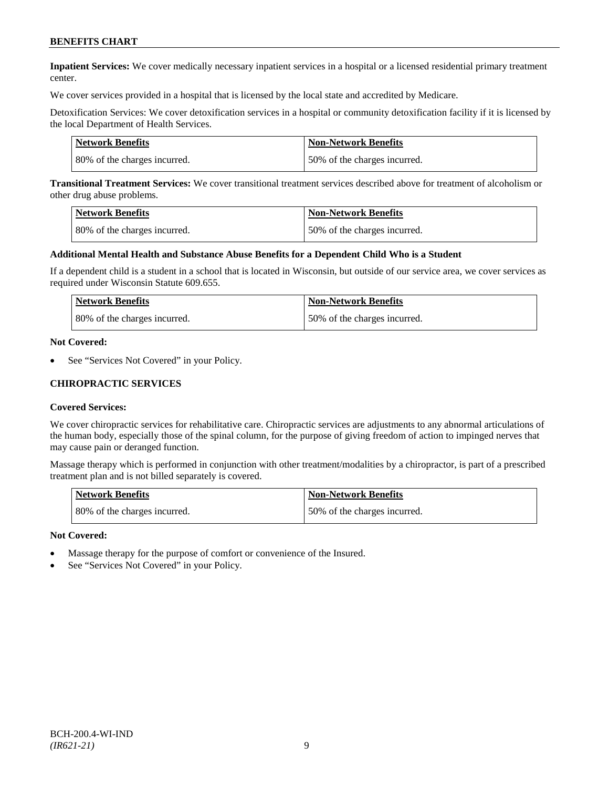**Inpatient Services:** We cover medically necessary inpatient services in a hospital or a licensed residential primary treatment center.

We cover services provided in a hospital that is licensed by the local state and accredited by Medicare.

Detoxification Services: We cover detoxification services in a hospital or community detoxification facility if it is licensed by the local Department of Health Services.

| Network Benefits             | <b>Non-Network Benefits</b>  |
|------------------------------|------------------------------|
| 80% of the charges incurred. | 50% of the charges incurred. |

**Transitional Treatment Services:** We cover transitional treatment services described above for treatment of alcoholism or other drug abuse problems.

| <b>Network Benefits</b>      | <b>Non-Network Benefits</b>  |
|------------------------------|------------------------------|
| 80% of the charges incurred. | 50% of the charges incurred. |

#### **Additional Mental Health and Substance Abuse Benefits for a Dependent Child Who is a Student**

If a dependent child is a student in a school that is located in Wisconsin, but outside of our service area, we cover services as required under Wisconsin Statute 609.655.

| <b>Network Benefits</b>      | <b>Non-Network Benefits</b>  |
|------------------------------|------------------------------|
| 80% of the charges incurred. | 50% of the charges incurred. |

#### **Not Covered:**

See "Services Not Covered" in your Policy.

#### **CHIROPRACTIC SERVICES**

#### **Covered Services:**

We cover chiropractic services for rehabilitative care. Chiropractic services are adjustments to any abnormal articulations of the human body, especially those of the spinal column, for the purpose of giving freedom of action to impinged nerves that may cause pain or deranged function.

Massage therapy which is performed in conjunction with other treatment/modalities by a chiropractor, is part of a prescribed treatment plan and is not billed separately is covered.

| <b>Network Benefits</b>      | <b>Non-Network Benefits</b>  |
|------------------------------|------------------------------|
| 80% of the charges incurred. | 50% of the charges incurred. |

#### **Not Covered:**

- Massage therapy for the purpose of comfort or convenience of the Insured.
- See "Services Not Covered" in your Policy.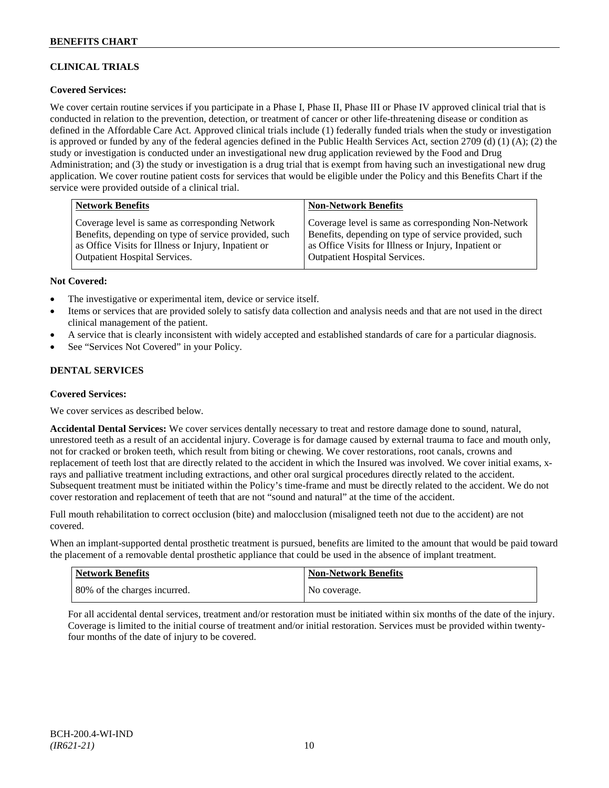# **CLINICAL TRIALS**

### **Covered Services:**

We cover certain routine services if you participate in a Phase I, Phase II, Phase III or Phase IV approved clinical trial that is conducted in relation to the prevention, detection, or treatment of cancer or other life-threatening disease or condition as defined in the Affordable Care Act. Approved clinical trials include (1) federally funded trials when the study or investigation is approved or funded by any of the federal agencies defined in the Public Health Services Act, section 2709 (d) (1) (A); (2) the study or investigation is conducted under an investigational new drug application reviewed by the Food and Drug Administration; and (3) the study or investigation is a drug trial that is exempt from having such an investigational new drug application. We cover routine patient costs for services that would be eligible under the Policy and this Benefits Chart if the service were provided outside of a clinical trial.

| <b>Network Benefits</b>                               | <b>Non-Network Benefits</b>                           |
|-------------------------------------------------------|-------------------------------------------------------|
| Coverage level is same as corresponding Network       | Coverage level is same as corresponding Non-Network   |
| Benefits, depending on type of service provided, such | Benefits, depending on type of service provided, such |
| as Office Visits for Illness or Injury, Inpatient or  | as Office Visits for Illness or Injury, Inpatient or  |
| Outpatient Hospital Services.                         | <b>Outpatient Hospital Services.</b>                  |

#### **Not Covered:**

- The investigative or experimental item, device or service itself.
- Items or services that are provided solely to satisfy data collection and analysis needs and that are not used in the direct clinical management of the patient.
- A service that is clearly inconsistent with widely accepted and established standards of care for a particular diagnosis.
- See "Services Not Covered" in your Policy.

### **DENTAL SERVICES**

#### **Covered Services:**

We cover services as described below.

**Accidental Dental Services:** We cover services dentally necessary to treat and restore damage done to sound, natural, unrestored teeth as a result of an accidental injury. Coverage is for damage caused by external trauma to face and mouth only, not for cracked or broken teeth, which result from biting or chewing. We cover restorations, root canals, crowns and replacement of teeth lost that are directly related to the accident in which the Insured was involved. We cover initial exams, xrays and palliative treatment including extractions, and other oral surgical procedures directly related to the accident. Subsequent treatment must be initiated within the Policy's time-frame and must be directly related to the accident. We do not cover restoration and replacement of teeth that are not "sound and natural" at the time of the accident.

Full mouth rehabilitation to correct occlusion (bite) and malocclusion (misaligned teeth not due to the accident) are not covered.

When an implant-supported dental prosthetic treatment is pursued, benefits are limited to the amount that would be paid toward the placement of a removable dental prosthetic appliance that could be used in the absence of implant treatment.

| Network Benefits             | <b>Non-Network Benefits</b> |
|------------------------------|-----------------------------|
| 80% of the charges incurred. | No coverage.                |

For all accidental dental services, treatment and/or restoration must be initiated within six months of the date of the injury. Coverage is limited to the initial course of treatment and/or initial restoration. Services must be provided within twentyfour months of the date of injury to be covered.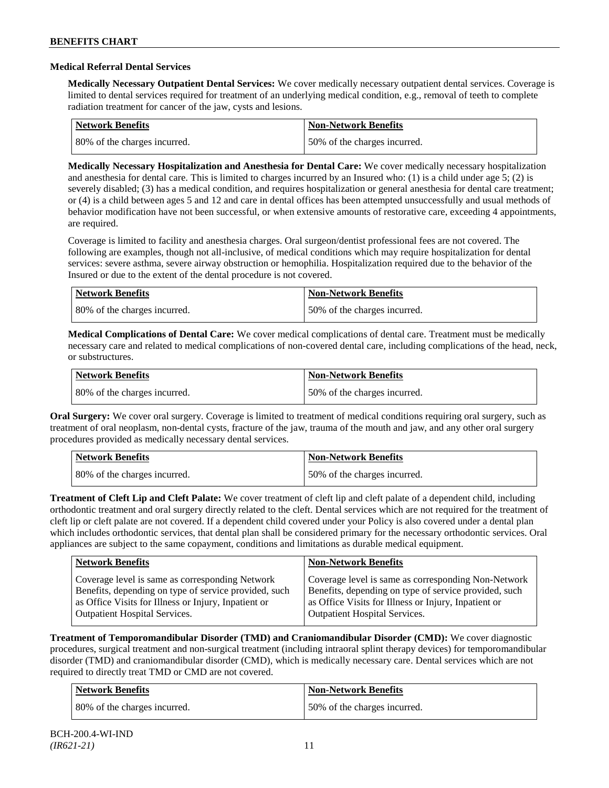#### **Medical Referral Dental Services**

**Medically Necessary Outpatient Dental Services:** We cover medically necessary outpatient dental services. Coverage is limited to dental services required for treatment of an underlying medical condition, e.g., removal of teeth to complete radiation treatment for cancer of the jaw, cysts and lesions.

| <b>Network Benefits</b>      | <b>Non-Network Benefits</b>  |
|------------------------------|------------------------------|
| 80% of the charges incurred. | 50% of the charges incurred. |

**Medically Necessary Hospitalization and Anesthesia for Dental Care:** We cover medically necessary hospitalization and anesthesia for dental care. This is limited to charges incurred by an Insured who: (1) is a child under age 5; (2) is severely disabled; (3) has a medical condition, and requires hospitalization or general anesthesia for dental care treatment; or (4) is a child between ages 5 and 12 and care in dental offices has been attempted unsuccessfully and usual methods of behavior modification have not been successful, or when extensive amounts of restorative care, exceeding 4 appointments, are required.

Coverage is limited to facility and anesthesia charges. Oral surgeon/dentist professional fees are not covered. The following are examples, though not all-inclusive, of medical conditions which may require hospitalization for dental services: severe asthma, severe airway obstruction or hemophilia. Hospitalization required due to the behavior of the Insured or due to the extent of the dental procedure is not covered.

| Network Benefits             | <b>Non-Network Benefits</b>  |
|------------------------------|------------------------------|
| 80% of the charges incurred. | 50% of the charges incurred. |

**Medical Complications of Dental Care:** We cover medical complications of dental care. Treatment must be medically necessary care and related to medical complications of non-covered dental care, including complications of the head, neck, or substructures.

| Network Benefits             | <b>Non-Network Benefits</b>  |
|------------------------------|------------------------------|
| 80% of the charges incurred. | 50% of the charges incurred. |

**Oral Surgery:** We cover oral surgery. Coverage is limited to treatment of medical conditions requiring oral surgery, such as treatment of oral neoplasm, non-dental cysts, fracture of the jaw, trauma of the mouth and jaw, and any other oral surgery procedures provided as medically necessary dental services.

| <b>Network Benefits</b>      | <b>Non-Network Benefits</b>  |
|------------------------------|------------------------------|
| 80% of the charges incurred. | 50% of the charges incurred. |

**Treatment of Cleft Lip and Cleft Palate:** We cover treatment of cleft lip and cleft palate of a dependent child, including orthodontic treatment and oral surgery directly related to the cleft. Dental services which are not required for the treatment of cleft lip or cleft palate are not covered. If a dependent child covered under your Policy is also covered under a dental plan which includes orthodontic services, that dental plan shall be considered primary for the necessary orthodontic services. Oral appliances are subject to the same copayment, conditions and limitations as durable medical equipment.

| <b>Network Benefits</b>                               | <b>Non-Network Benefits</b>                           |
|-------------------------------------------------------|-------------------------------------------------------|
| Coverage level is same as corresponding Network       | Coverage level is same as corresponding Non-Network   |
| Benefits, depending on type of service provided, such | Benefits, depending on type of service provided, such |
| as Office Visits for Illness or Injury, Inpatient or  | as Office Visits for Illness or Injury, Inpatient or  |
| <b>Outpatient Hospital Services.</b>                  | <b>Outpatient Hospital Services.</b>                  |

**Treatment of Temporomandibular Disorder (TMD) and Craniomandibular Disorder (CMD):** We cover diagnostic procedures, surgical treatment and non-surgical treatment (including intraoral splint therapy devices) for temporomandibular disorder (TMD) and craniomandibular disorder (CMD), which is medically necessary care. Dental services which are not required to directly treat TMD or CMD are not covered.

| <b>Network Benefits</b>       | <b>Non-Network Benefits</b>  |
|-------------------------------|------------------------------|
| 180% of the charges incurred. | 50% of the charges incurred. |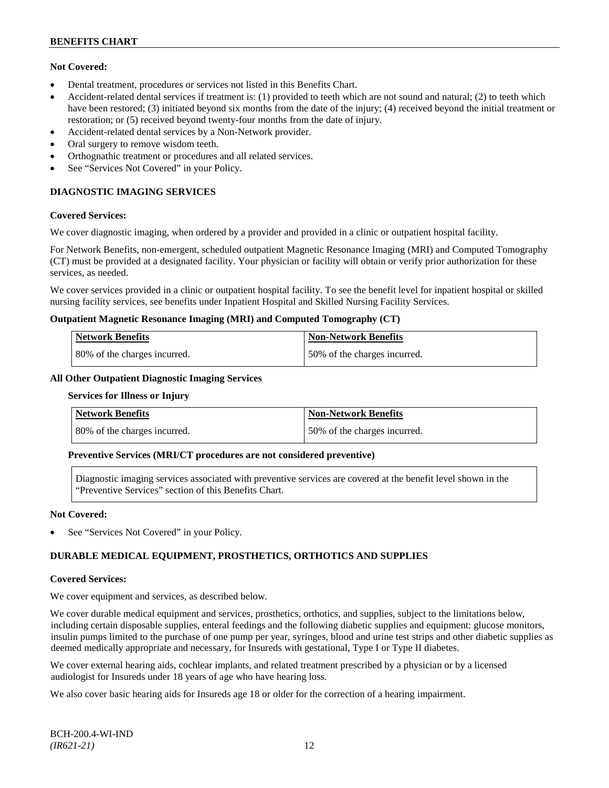### **Not Covered:**

- Dental treatment, procedures or services not listed in this Benefits Chart.
- Accident-related dental services if treatment is: (1) provided to teeth which are not sound and natural; (2) to teeth which have been restored; (3) initiated beyond six months from the date of the injury; (4) received beyond the initial treatment or restoration; or (5) received beyond twenty-four months from the date of injury.
- Accident-related dental services by a Non-Network provider.
- Oral surgery to remove wisdom teeth.
- Orthognathic treatment or procedures and all related services.
- See "Services Not Covered" in your Policy.

# **DIAGNOSTIC IMAGING SERVICES**

#### **Covered Services:**

We cover diagnostic imaging, when ordered by a provider and provided in a clinic or outpatient hospital facility.

For Network Benefits, non-emergent, scheduled outpatient Magnetic Resonance Imaging (MRI) and Computed Tomography (CT) must be provided at a designated facility. Your physician or facility will obtain or verify prior authorization for these services, as needed.

We cover services provided in a clinic or outpatient hospital facility. To see the benefit level for inpatient hospital or skilled nursing facility services, see benefits under Inpatient Hospital and Skilled Nursing Facility Services.

#### **Outpatient Magnetic Resonance Imaging (MRI) and Computed Tomography (CT)**

| <b>Network Benefits</b>      | <b>Non-Network Benefits</b>   |
|------------------------------|-------------------------------|
| 80% of the charges incurred. | 150% of the charges incurred. |

#### **All Other Outpatient Diagnostic Imaging Services**

#### **Services for Illness or Injury**

| <b>Network Benefits</b>      | <b>Non-Network Benefits</b>  |
|------------------------------|------------------------------|
| 80% of the charges incurred. | 50% of the charges incurred. |

### **Preventive Services (MRI/CT procedures are not considered preventive)**

Diagnostic imaging services associated with preventive services are covered at the benefit level shown in the "Preventive Services" section of this Benefits Chart.

#### **Not Covered:**

See "Services Not Covered" in your Policy.

# **DURABLE MEDICAL EQUIPMENT, PROSTHETICS, ORTHOTICS AND SUPPLIES**

#### **Covered Services:**

We cover equipment and services, as described below.

We cover durable medical equipment and services, prosthetics, orthotics, and supplies, subject to the limitations below, including certain disposable supplies, enteral feedings and the following diabetic supplies and equipment: glucose monitors, insulin pumps limited to the purchase of one pump per year, syringes, blood and urine test strips and other diabetic supplies as deemed medically appropriate and necessary, for Insureds with gestational, Type I or Type II diabetes.

We cover external hearing aids, cochlear implants, and related treatment prescribed by a physician or by a licensed audiologist for Insureds under 18 years of age who have hearing loss.

We also cover basic hearing aids for Insureds age 18 or older for the correction of a hearing impairment.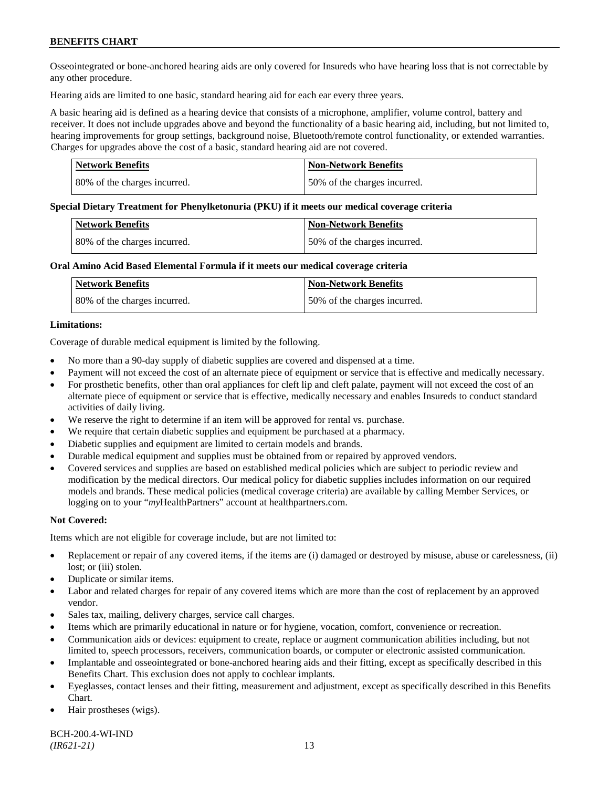Osseointegrated or bone-anchored hearing aids are only covered for Insureds who have hearing loss that is not correctable by any other procedure.

Hearing aids are limited to one basic, standard hearing aid for each ear every three years.

A basic hearing aid is defined as a hearing device that consists of a microphone, amplifier, volume control, battery and receiver. It does not include upgrades above and beyond the functionality of a basic hearing aid, including, but not limited to, hearing improvements for group settings, background noise, Bluetooth/remote control functionality, or extended warranties. Charges for upgrades above the cost of a basic, standard hearing aid are not covered.

| Network Benefits             | <b>Non-Network Benefits</b>  |
|------------------------------|------------------------------|
| 80% of the charges incurred. | 50% of the charges incurred. |

#### **Special Dietary Treatment for Phenylketonuria (PKU) if it meets our medical coverage criteria**

| <b>Network Benefits</b>      | <b>Non-Network Benefits</b>  |
|------------------------------|------------------------------|
| 80% of the charges incurred. | 50% of the charges incurred. |

#### **Oral Amino Acid Based Elemental Formula if it meets our medical coverage criteria**

| Network Benefits             | <b>Non-Network Benefits</b>  |
|------------------------------|------------------------------|
| 80% of the charges incurred. | 50% of the charges incurred. |

#### **Limitations:**

Coverage of durable medical equipment is limited by the following.

- No more than a 90-day supply of diabetic supplies are covered and dispensed at a time.
- Payment will not exceed the cost of an alternate piece of equipment or service that is effective and medically necessary.
- For prosthetic benefits, other than oral appliances for cleft lip and cleft palate, payment will not exceed the cost of an alternate piece of equipment or service that is effective, medically necessary and enables Insureds to conduct standard activities of daily living.
- We reserve the right to determine if an item will be approved for rental vs. purchase.
- We require that certain diabetic supplies and equipment be purchased at a pharmacy.
- Diabetic supplies and equipment are limited to certain models and brands.
- Durable medical equipment and supplies must be obtained from or repaired by approved vendors.
- Covered services and supplies are based on established medical policies which are subject to periodic review and modification by the medical directors. Our medical policy for diabetic supplies includes information on our required models and brands. These medical policies (medical coverage criteria) are available by calling Member Services, or logging on to your "*my*HealthPartners" account at [healthpartners.com.](http://www.healthpartners.com/)

### **Not Covered:**

Items which are not eligible for coverage include, but are not limited to:

- Replacement or repair of any covered items, if the items are (i) damaged or destroyed by misuse, abuse or carelessness, (ii) lost; or (iii) stolen.
- Duplicate or similar items.
- Labor and related charges for repair of any covered items which are more than the cost of replacement by an approved vendor.
- Sales tax, mailing, delivery charges, service call charges.
- Items which are primarily educational in nature or for hygiene, vocation, comfort, convenience or recreation.
- Communication aids or devices: equipment to create, replace or augment communication abilities including, but not limited to, speech processors, receivers, communication boards, or computer or electronic assisted communication.
- Implantable and osseointegrated or bone-anchored hearing aids and their fitting, except as specifically described in this Benefits Chart. This exclusion does not apply to cochlear implants.
- Eyeglasses, contact lenses and their fitting, measurement and adjustment, except as specifically described in this Benefits Chart.
- Hair prostheses (wigs).

BCH-200.4-WI-IND *(IR621-21)* 13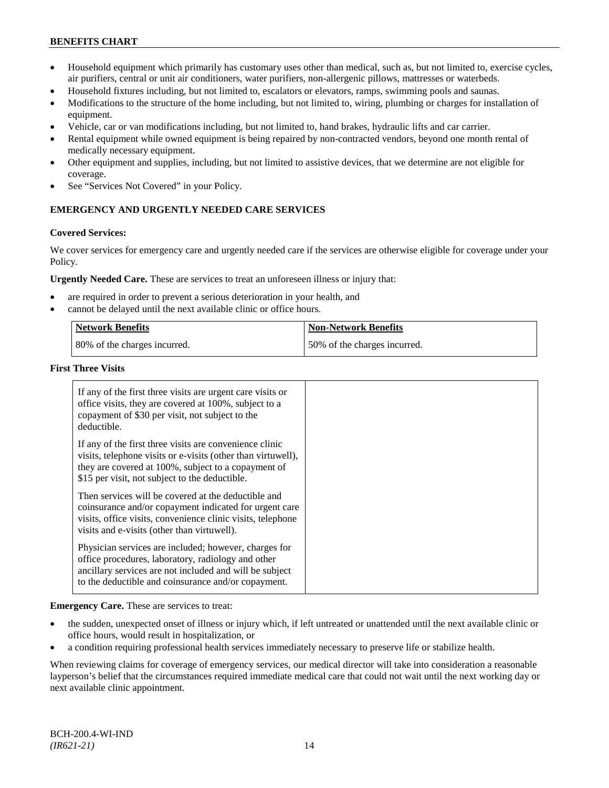- Household equipment which primarily has customary uses other than medical, such as, but not limited to, exercise cycles, air purifiers, central or unit air conditioners, water purifiers, non-allergenic pillows, mattresses or waterbeds.
- Household fixtures including, but not limited to, escalators or elevators, ramps, swimming pools and saunas.
- Modifications to the structure of the home including, but not limited to, wiring, plumbing or charges for installation of equipment.
- Vehicle, car or van modifications including, but not limited to, hand brakes, hydraulic lifts and car carrier.
- Rental equipment while owned equipment is being repaired by non-contracted vendors, beyond one month rental of medically necessary equipment.
- Other equipment and supplies, including, but not limited to assistive devices, that we determine are not eligible for coverage.
- See "Services Not Covered" in your Policy.

# **EMERGENCY AND URGENTLY NEEDED CARE SERVICES**

#### **Covered Services:**

We cover services for emergency care and urgently needed care if the services are otherwise eligible for coverage under your Policy.

**Urgently Needed Care.** These are services to treat an unforeseen illness or injury that:

- are required in order to prevent a serious deterioration in your health, and
- cannot be delayed until the next available clinic or office hours.

| <b>Network Benefits</b>      | <b>Non-Network Benefits</b>  |
|------------------------------|------------------------------|
| 80% of the charges incurred. | 50% of the charges incurred. |

#### **First Three Visits**

| If any of the first three visits are urgent care visits or<br>office visits, they are covered at 100%, subject to a<br>copayment of \$30 per visit, not subject to the<br>deductible.                                            |  |
|----------------------------------------------------------------------------------------------------------------------------------------------------------------------------------------------------------------------------------|--|
| If any of the first three visits are convenience clinic<br>visits, telephone visits or e-visits (other than virtuwell),<br>they are covered at 100%, subject to a copayment of<br>\$15 per visit, not subject to the deductible. |  |
| Then services will be covered at the deductible and<br>coinsurance and/or copayment indicated for urgent care<br>visits, office visits, convenience clinic visits, telephone<br>visits and e-visits (other than virtuwell).      |  |
| Physician services are included; however, charges for<br>office procedures, laboratory, radiology and other<br>ancillary services are not included and will be subject<br>to the deductible and coinsurance and/or copayment.    |  |

**Emergency Care.** These are services to treat:

- the sudden, unexpected onset of illness or injury which, if left untreated or unattended until the next available clinic or office hours, would result in hospitalization, or
- a condition requiring professional health services immediately necessary to preserve life or stabilize health.

When reviewing claims for coverage of emergency services, our medical director will take into consideration a reasonable layperson's belief that the circumstances required immediate medical care that could not wait until the next working day or next available clinic appointment.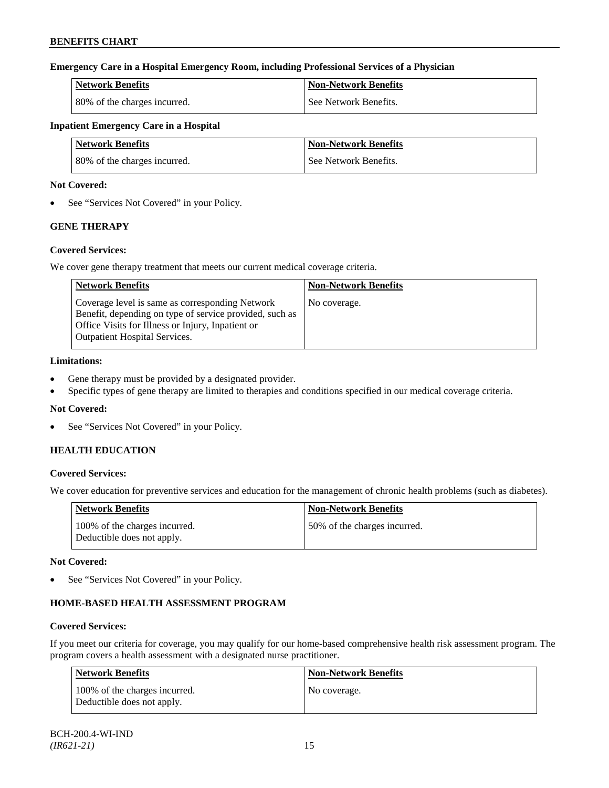### **Emergency Care in a Hospital Emergency Room, including Professional Services of a Physician**

| <b>Network Benefits</b>      | <b>Non-Network Benefits</b> |
|------------------------------|-----------------------------|
| 80% of the charges incurred. | See Network Benefits.       |

# **Inpatient Emergency Care in a Hospital**

| <b>Network Benefits</b>      | <b>Non-Network Benefits</b> |
|------------------------------|-----------------------------|
| 80% of the charges incurred. | See Network Benefits.       |

#### **Not Covered:**

• See "Services Not Covered" in your Policy.

# **GENE THERAPY**

#### **Covered Services:**

We cover gene therapy treatment that meets our current medical coverage criteria.

| <b>Network Benefits</b>                                                                                                                                                                                 | <b>Non-Network Benefits</b> |
|---------------------------------------------------------------------------------------------------------------------------------------------------------------------------------------------------------|-----------------------------|
| Coverage level is same as corresponding Network<br>Benefit, depending on type of service provided, such as<br>Office Visits for Illness or Injury, Inpatient or<br><b>Outpatient Hospital Services.</b> | No coverage.                |

# **Limitations:**

- Gene therapy must be provided by a designated provider.
- Specific types of gene therapy are limited to therapies and conditions specified in our medical coverage criteria.

### **Not Covered:**

• See "Services Not Covered" in your Policy.

# **HEALTH EDUCATION**

### **Covered Services:**

We cover education for preventive services and education for the management of chronic health problems (such as diabetes).

| <b>Network Benefits</b>                                     | <b>Non-Network Benefits</b>   |
|-------------------------------------------------------------|-------------------------------|
| 100% of the charges incurred.<br>Deductible does not apply. | 150% of the charges incurred. |

### **Not Covered:**

• See "Services Not Covered" in your Policy.

# **HOME-BASED HEALTH ASSESSMENT PROGRAM**

#### **Covered Services:**

If you meet our criteria for coverage, you may qualify for our home-based comprehensive health risk assessment program. The program covers a health assessment with a designated nurse practitioner.

| <b>Network Benefits</b>                                     | <b>Non-Network Benefits</b> |
|-------------------------------------------------------------|-----------------------------|
| 100% of the charges incurred.<br>Deductible does not apply. | No coverage.                |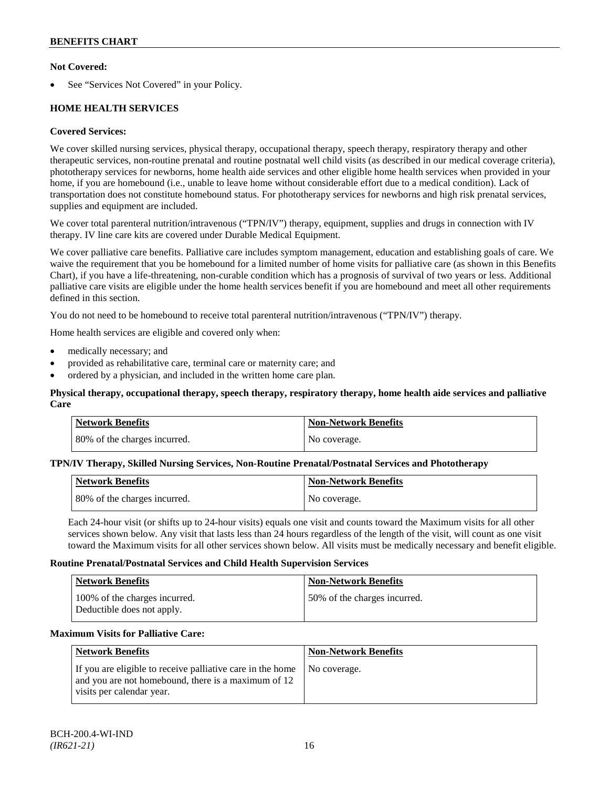### **Not Covered:**

See "Services Not Covered" in your Policy.

# **HOME HEALTH SERVICES**

### **Covered Services:**

We cover skilled nursing services, physical therapy, occupational therapy, speech therapy, respiratory therapy and other therapeutic services, non-routine prenatal and routine postnatal well child visits (as described in our medical coverage criteria), phototherapy services for newborns, home health aide services and other eligible home health services when provided in your home, if you are homebound (i.e., unable to leave home without considerable effort due to a medical condition). Lack of transportation does not constitute homebound status. For phototherapy services for newborns and high risk prenatal services, supplies and equipment are included.

We cover total parenteral nutrition/intravenous ("TPN/IV") therapy, equipment, supplies and drugs in connection with IV therapy. IV line care kits are covered under Durable Medical Equipment.

We cover palliative care benefits. Palliative care includes symptom management, education and establishing goals of care. We waive the requirement that you be homebound for a limited number of home visits for palliative care (as shown in this Benefits Chart), if you have a life-threatening, non-curable condition which has a prognosis of survival of two years or less. Additional palliative care visits are eligible under the home health services benefit if you are homebound and meet all other requirements defined in this section.

You do not need to be homebound to receive total parenteral nutrition/intravenous ("TPN/IV") therapy.

Home health services are eligible and covered only when:

- medically necessary; and
- provided as rehabilitative care, terminal care or maternity care; and
- ordered by a physician, and included in the written home care plan.

### **Physical therapy, occupational therapy, speech therapy, respiratory therapy, home health aide services and palliative Care**

| <b>Network Benefits</b>      | Non-Network Benefits |
|------------------------------|----------------------|
| 80% of the charges incurred. | No coverage.         |

#### **TPN/IV Therapy, Skilled Nursing Services, Non-Routine Prenatal/Postnatal Services and Phototherapy**

| Network Benefits             | <b>Non-Network Benefits</b> |
|------------------------------|-----------------------------|
| 80% of the charges incurred. | No coverage.                |

Each 24-hour visit (or shifts up to 24-hour visits) equals one visit and counts toward the Maximum visits for all other services shown below. Any visit that lasts less than 24 hours regardless of the length of the visit, will count as one visit toward the Maximum visits for all other services shown below. All visits must be medically necessary and benefit eligible.

#### **Routine Prenatal/Postnatal Services and Child Health Supervision Services**

| Network Benefits                                            | <b>Non-Network Benefits</b>  |
|-------------------------------------------------------------|------------------------------|
| 100% of the charges incurred.<br>Deductible does not apply. | 50% of the charges incurred. |

### **Maximum Visits for Palliative Care:**

| Network Benefits                                                                                                                               | <b>Non-Network Benefits</b> |
|------------------------------------------------------------------------------------------------------------------------------------------------|-----------------------------|
| If you are eligible to receive palliative care in the home<br>and you are not homebound, there is a maximum of 12<br>visits per calendar year. | No coverage.                |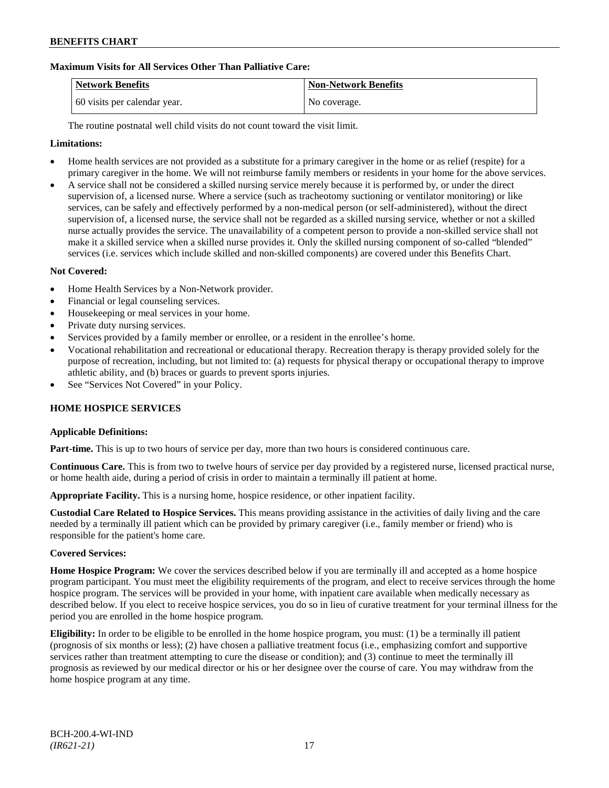### **Maximum Visits for All Services Other Than Palliative Care:**

| Network Benefits             | <b>Non-Network Benefits</b> |
|------------------------------|-----------------------------|
| 60 visits per calendar year. | No coverage.                |

The routine postnatal well child visits do not count toward the visit limit.

#### **Limitations:**

- Home health services are not provided as a substitute for a primary caregiver in the home or as relief (respite) for a primary caregiver in the home. We will not reimburse family members or residents in your home for the above services.
- A service shall not be considered a skilled nursing service merely because it is performed by, or under the direct supervision of, a licensed nurse. Where a service (such as tracheotomy suctioning or ventilator monitoring) or like services, can be safely and effectively performed by a non-medical person (or self-administered), without the direct supervision of, a licensed nurse, the service shall not be regarded as a skilled nursing service, whether or not a skilled nurse actually provides the service. The unavailability of a competent person to provide a non-skilled service shall not make it a skilled service when a skilled nurse provides it. Only the skilled nursing component of so-called "blended" services (i.e. services which include skilled and non-skilled components) are covered under this Benefits Chart.

#### **Not Covered:**

- Home Health Services by a Non-Network provider.
- Financial or legal counseling services.
- Housekeeping or meal services in your home.
- Private duty nursing services.
- Services provided by a family member or enrollee, or a resident in the enrollee's home.
- Vocational rehabilitation and recreational or educational therapy. Recreation therapy is therapy provided solely for the purpose of recreation, including, but not limited to: (a) requests for physical therapy or occupational therapy to improve athletic ability, and (b) braces or guards to prevent sports injuries.
- See "Services Not Covered" in your Policy.

#### **HOME HOSPICE SERVICES**

#### **Applicable Definitions:**

**Part-time.** This is up to two hours of service per day, more than two hours is considered continuous care.

**Continuous Care.** This is from two to twelve hours of service per day provided by a registered nurse, licensed practical nurse, or home health aide, during a period of crisis in order to maintain a terminally ill patient at home.

**Appropriate Facility.** This is a nursing home, hospice residence, or other inpatient facility.

**Custodial Care Related to Hospice Services.** This means providing assistance in the activities of daily living and the care needed by a terminally ill patient which can be provided by primary caregiver (i.e., family member or friend) who is responsible for the patient's home care.

#### **Covered Services:**

**Home Hospice Program:** We cover the services described below if you are terminally ill and accepted as a home hospice program participant. You must meet the eligibility requirements of the program, and elect to receive services through the home hospice program. The services will be provided in your home, with inpatient care available when medically necessary as described below. If you elect to receive hospice services, you do so in lieu of curative treatment for your terminal illness for the period you are enrolled in the home hospice program.

**Eligibility:** In order to be eligible to be enrolled in the home hospice program, you must: (1) be a terminally ill patient (prognosis of six months or less); (2) have chosen a palliative treatment focus (i.e., emphasizing comfort and supportive services rather than treatment attempting to cure the disease or condition); and (3) continue to meet the terminally ill prognosis as reviewed by our medical director or his or her designee over the course of care. You may withdraw from the home hospice program at any time.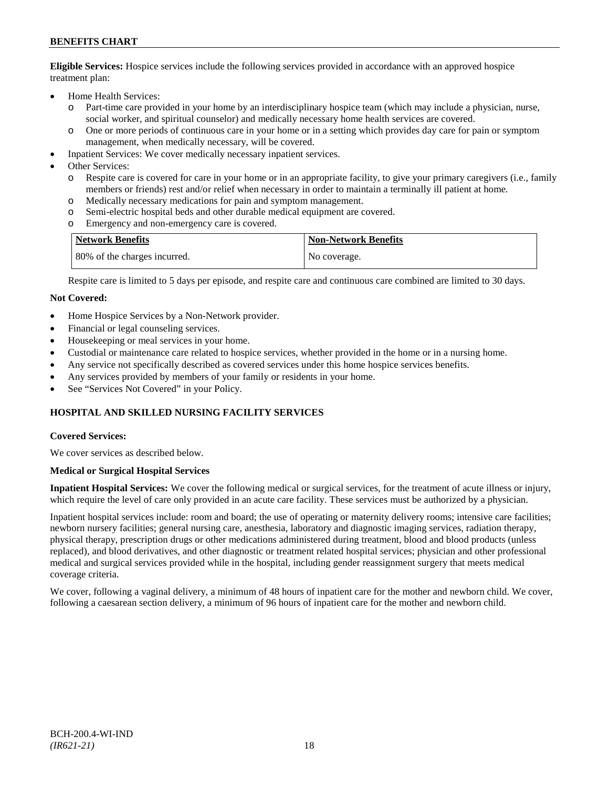**Eligible Services:** Hospice services include the following services provided in accordance with an approved hospice treatment plan:

- Home Health Services:
	- o Part-time care provided in your home by an interdisciplinary hospice team (which may include a physician, nurse, social worker, and spiritual counselor) and medically necessary home health services are covered.
	- o One or more periods of continuous care in your home or in a setting which provides day care for pain or symptom management, when medically necessary, will be covered.
- Inpatient Services: We cover medically necessary inpatient services.
- Other Services:
	- o Respite care is covered for care in your home or in an appropriate facility, to give your primary caregivers (i.e., family members or friends) rest and/or relief when necessary in order to maintain a terminally ill patient at home*.*
	- o Medically necessary medications for pain and symptom management.
	- o Semi-electric hospital beds and other durable medical equipment are covered.
	- o Emergency and non-emergency care is covered.

| <b>Network Benefits</b>      | <b>Non-Network Benefits</b> |
|------------------------------|-----------------------------|
| 80% of the charges incurred. | No coverage.                |

Respite care is limited to 5 days per episode, and respite care and continuous care combined are limited to 30 days.

#### **Not Covered:**

- Home Hospice Services by a Non-Network provider.
- Financial or legal counseling services.
- Housekeeping or meal services in your home.
- Custodial or maintenance care related to hospice services, whether provided in the home or in a nursing home.
- Any service not specifically described as covered services under this home hospice services benefits.
- Any services provided by members of your family or residents in your home.
- See "Services Not Covered" in your Policy.

### **HOSPITAL AND SKILLED NURSING FACILITY SERVICES**

#### **Covered Services:**

We cover services as described below.

#### **Medical or Surgical Hospital Services**

**Inpatient Hospital Services:** We cover the following medical or surgical services, for the treatment of acute illness or injury, which require the level of care only provided in an acute care facility. These services must be authorized by a physician.

Inpatient hospital services include: room and board; the use of operating or maternity delivery rooms; intensive care facilities; newborn nursery facilities; general nursing care, anesthesia, laboratory and diagnostic imaging services, radiation therapy, physical therapy, prescription drugs or other medications administered during treatment, blood and blood products (unless replaced), and blood derivatives, and other diagnostic or treatment related hospital services; physician and other professional medical and surgical services provided while in the hospital, including gender reassignment surgery that meets medical coverage criteria.

We cover, following a vaginal delivery, a minimum of 48 hours of inpatient care for the mother and newborn child. We cover, following a caesarean section delivery, a minimum of 96 hours of inpatient care for the mother and newborn child.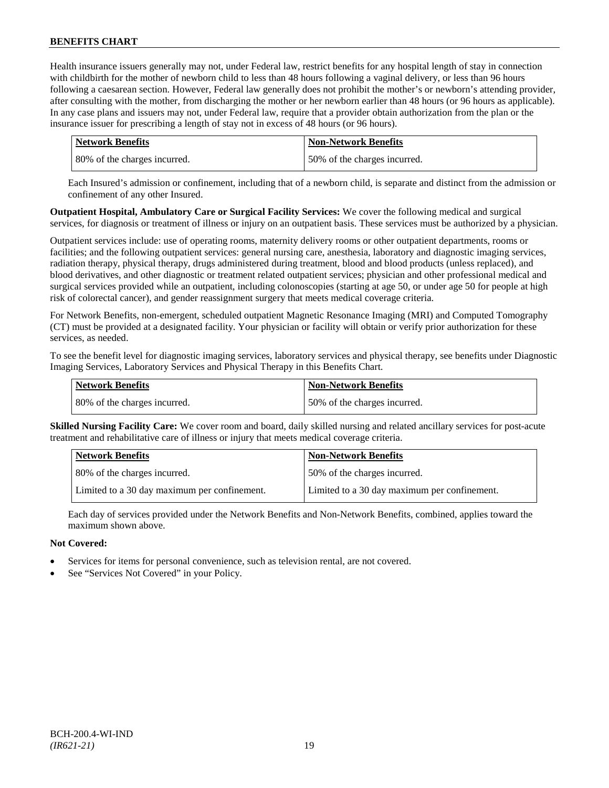Health insurance issuers generally may not, under Federal law, restrict benefits for any hospital length of stay in connection with childbirth for the mother of newborn child to less than 48 hours following a vaginal delivery, or less than 96 hours following a caesarean section. However, Federal law generally does not prohibit the mother's or newborn's attending provider, after consulting with the mother, from discharging the mother or her newborn earlier than 48 hours (or 96 hours as applicable). In any case plans and issuers may not, under Federal law, require that a provider obtain authorization from the plan or the insurance issuer for prescribing a length of stay not in excess of 48 hours (or 96 hours).

| <b>Network Benefits</b>      | <b>Non-Network Benefits</b>  |
|------------------------------|------------------------------|
| 80% of the charges incurred. | 50% of the charges incurred. |

Each Insured's admission or confinement, including that of a newborn child, is separate and distinct from the admission or confinement of any other Insured.

**Outpatient Hospital, Ambulatory Care or Surgical Facility Services:** We cover the following medical and surgical services, for diagnosis or treatment of illness or injury on an outpatient basis. These services must be authorized by a physician.

Outpatient services include: use of operating rooms, maternity delivery rooms or other outpatient departments, rooms or facilities; and the following outpatient services: general nursing care, anesthesia, laboratory and diagnostic imaging services, radiation therapy, physical therapy, drugs administered during treatment, blood and blood products (unless replaced), and blood derivatives, and other diagnostic or treatment related outpatient services; physician and other professional medical and surgical services provided while an outpatient, including colonoscopies (starting at age 50, or under age 50 for people at high risk of colorectal cancer), and gender reassignment surgery that meets medical coverage criteria.

For Network Benefits, non-emergent, scheduled outpatient Magnetic Resonance Imaging (MRI) and Computed Tomography (CT) must be provided at a designated facility. Your physician or facility will obtain or verify prior authorization for these services, as needed.

To see the benefit level for diagnostic imaging services, laboratory services and physical therapy, see benefits under Diagnostic Imaging Services, Laboratory Services and Physical Therapy in this Benefits Chart.

| <b>Network Benefits</b>      | <b>Non-Network Benefits</b>  |
|------------------------------|------------------------------|
| 80% of the charges incurred. | 50% of the charges incurred. |

**Skilled Nursing Facility Care:** We cover room and board, daily skilled nursing and related ancillary services for post-acute treatment and rehabilitative care of illness or injury that meets medical coverage criteria.

| <b>Network Benefits</b>                      | <b>Non-Network Benefits</b>                  |
|----------------------------------------------|----------------------------------------------|
| 80% of the charges incurred.                 | 50% of the charges incurred.                 |
| Limited to a 30 day maximum per confinement. | Limited to a 30 day maximum per confinement. |

Each day of services provided under the Network Benefits and Non-Network Benefits, combined, applies toward the maximum shown above.

### **Not Covered:**

- Services for items for personal convenience, such as television rental, are not covered.
- See "Services Not Covered" in your Policy.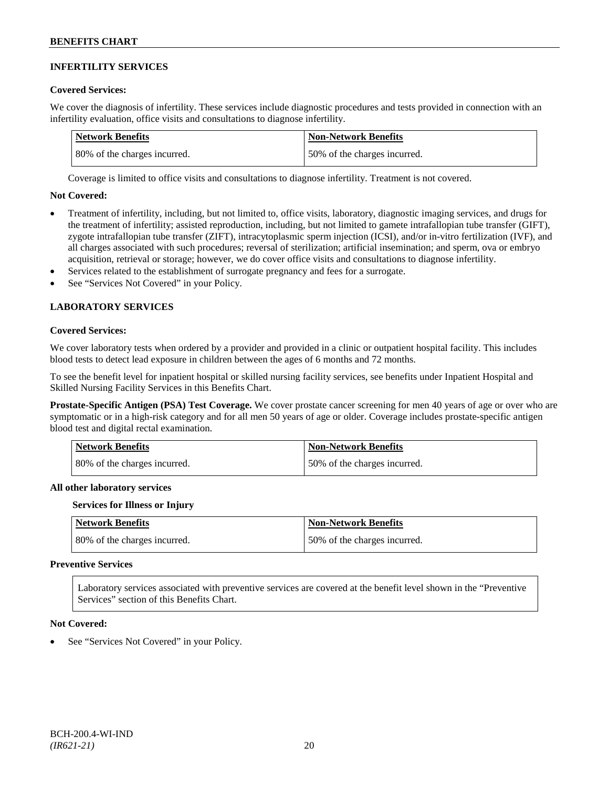#### **INFERTILITY SERVICES**

#### **Covered Services:**

We cover the diagnosis of infertility. These services include diagnostic procedures and tests provided in connection with an infertility evaluation, office visits and consultations to diagnose infertility.

| Network Benefits             | Non-Network Benefits         |
|------------------------------|------------------------------|
| 80% of the charges incurred. | 50% of the charges incurred. |

Coverage is limited to office visits and consultations to diagnose infertility. Treatment is not covered.

#### **Not Covered:**

- Treatment of infertility, including, but not limited to, office visits, laboratory, diagnostic imaging services, and drugs for the treatment of infertility; assisted reproduction, including, but not limited to gamete intrafallopian tube transfer (GIFT), zygote intrafallopian tube transfer (ZIFT), intracytoplasmic sperm injection (ICSI), and/or in-vitro fertilization (IVF), and all charges associated with such procedures; reversal of sterilization; artificial insemination; and sperm, ova or embryo acquisition, retrieval or storage; however, we do cover office visits and consultations to diagnose infertility.
- Services related to the establishment of surrogate pregnancy and fees for a surrogate.
- See "Services Not Covered" in your Policy.

### **LABORATORY SERVICES**

#### **Covered Services:**

We cover laboratory tests when ordered by a provider and provided in a clinic or outpatient hospital facility. This includes blood tests to detect lead exposure in children between the ages of 6 months and 72 months.

To see the benefit level for inpatient hospital or skilled nursing facility services, see benefits under Inpatient Hospital and Skilled Nursing Facility Services in this Benefits Chart.

**Prostate-Specific Antigen (PSA) Test Coverage.** We cover prostate cancer screening for men 40 years of age or over who are symptomatic or in a high-risk category and for all men 50 years of age or older. Coverage includes prostate-specific antigen blood test and digital rectal examination.

| <b>Network Benefits</b>      | <b>Non-Network Benefits</b>  |
|------------------------------|------------------------------|
| 80% of the charges incurred. | 50% of the charges incurred. |

#### **All other laboratory services**

#### **Services for Illness or Injury**

| <b>Network Benefits</b>      | <b>Non-Network Benefits</b>  |
|------------------------------|------------------------------|
| 80% of the charges incurred. | 50% of the charges incurred. |

#### **Preventive Services**

Laboratory services associated with preventive services are covered at the benefit level shown in the "Preventive Services" section of this Benefits Chart.

#### **Not Covered:**

See "Services Not Covered" in your Policy.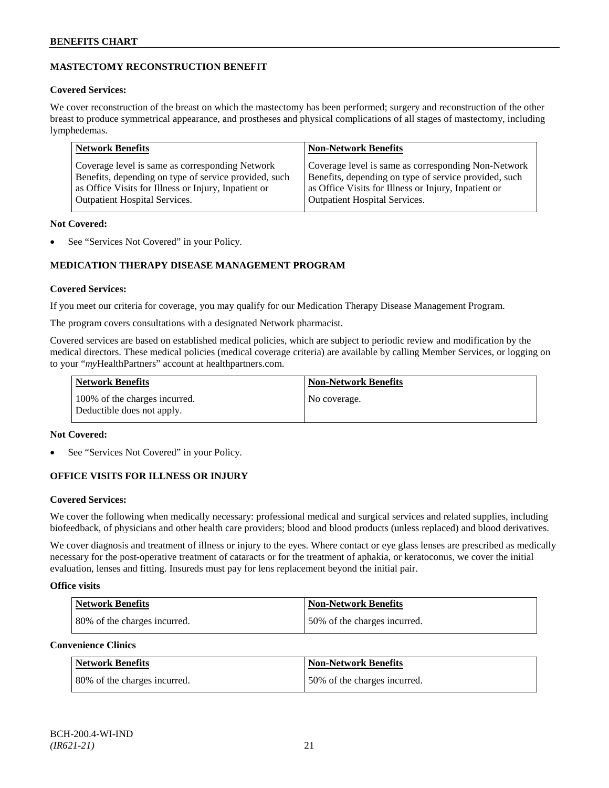# **MASTECTOMY RECONSTRUCTION BENEFIT**

### **Covered Services:**

We cover reconstruction of the breast on which the mastectomy has been performed; surgery and reconstruction of the other breast to produce symmetrical appearance, and prostheses and physical complications of all stages of mastectomy, including lymphedemas.

| <b>Network Benefits</b>                               | <b>Non-Network Benefits</b>                           |
|-------------------------------------------------------|-------------------------------------------------------|
| Coverage level is same as corresponding Network       | Coverage level is same as corresponding Non-Network   |
| Benefits, depending on type of service provided, such | Benefits, depending on type of service provided, such |
| as Office Visits for Illness or Injury, Inpatient or  | as Office Visits for Illness or Injury, Inpatient or  |
| <b>Outpatient Hospital Services.</b>                  | Outpatient Hospital Services.                         |

### **Not Covered:**

See "Services Not Covered" in your Policy.

# **MEDICATION THERAPY DISEASE MANAGEMENT PROGRAM**

### **Covered Services:**

If you meet our criteria for coverage, you may qualify for our Medication Therapy Disease Management Program.

The program covers consultations with a designated Network pharmacist.

Covered services are based on established medical policies, which are subject to periodic review and modification by the medical directors. These medical policies (medical coverage criteria) are available by calling Member Services, or logging on to your "*my*HealthPartners" account at [healthpartners.com.](http://www.healthpartners.com/)

| <b>Network Benefits</b>                                     | <b>Non-Network Benefits</b> |
|-------------------------------------------------------------|-----------------------------|
| 100% of the charges incurred.<br>Deductible does not apply. | No coverage.                |

### **Not Covered:**

See "Services Not Covered" in your Policy.

# **OFFICE VISITS FOR ILLNESS OR INJURY**

### **Covered Services:**

We cover the following when medically necessary: professional medical and surgical services and related supplies, including biofeedback, of physicians and other health care providers; blood and blood products (unless replaced) and blood derivatives.

We cover diagnosis and treatment of illness or injury to the eyes. Where contact or eye glass lenses are prescribed as medically necessary for the post-operative treatment of cataracts or for the treatment of aphakia, or keratoconus, we cover the initial evaluation, lenses and fitting. Insureds must pay for lens replacement beyond the initial pair.

### **Office visits**

| Network Benefits             | <b>Non-Network Benefits</b>  |
|------------------------------|------------------------------|
| 80% of the charges incurred. | 50% of the charges incurred. |

### **Convenience Clinics**

| <b>Network Benefits</b>      | <b>Non-Network Benefits</b>  |
|------------------------------|------------------------------|
| 80% of the charges incurred. | 50% of the charges incurred. |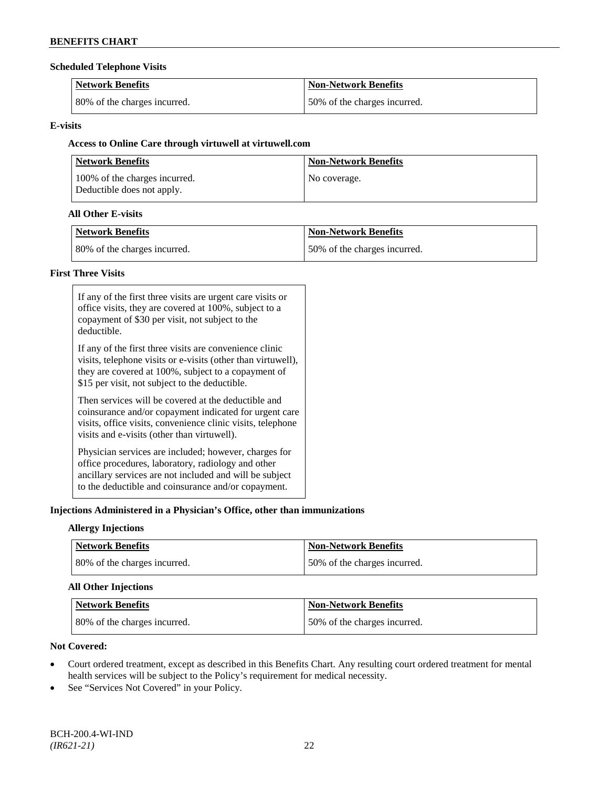#### **Scheduled Telephone Visits**

| <b>Network Benefits</b>      | <b>Non-Network Benefits</b>  |
|------------------------------|------------------------------|
| 80% of the charges incurred. | 50% of the charges incurred. |

### **E-visits**

# **Access to Online Care through virtuwell a[t virtuwell.com](http://www.virtuwell.com/)**

| <b>Network Benefits</b>                                     | <b>Non-Network Benefits</b> |
|-------------------------------------------------------------|-----------------------------|
| 100% of the charges incurred.<br>Deductible does not apply. | No coverage.                |

### **All Other E-visits**

| Network Benefits             | <b>Non-Network Benefits</b>  |
|------------------------------|------------------------------|
| 80% of the charges incurred. | 50% of the charges incurred. |

### **First Three Visits**

| If any of the first three visits are urgent care visits or<br>office visits, they are covered at 100%, subject to a<br>copayment of \$30 per visit, not subject to the<br>deductible.                                            |
|----------------------------------------------------------------------------------------------------------------------------------------------------------------------------------------------------------------------------------|
| If any of the first three visits are convenience clinic<br>visits, telephone visits or e-visits (other than virtuwell),<br>they are covered at 100%, subject to a copayment of<br>\$15 per visit, not subject to the deductible. |
| Then services will be covered at the deductible and<br>coinsurance and/or copayment indicated for urgent care<br>visits, office visits, convenience clinic visits, telephone<br>visits and e-visits (other than virtuwell).      |
| Physician services are included; however, charges for<br>office procedures, laboratory, radiology and other<br>ancillary services are not included and will be subject<br>to the deductible and coinsurance and/or copayment.    |

### **Injections Administered in a Physician's Office, other than immunizations**

### **Allergy Injections**

| Network Benefits             | <b>Non-Network Benefits</b>  |
|------------------------------|------------------------------|
| 80% of the charges incurred. | 50% of the charges incurred. |

# **All Other Injections**

| Network Benefits              | <b>Non-Network Benefits</b>  |
|-------------------------------|------------------------------|
| 180% of the charges incurred. | 50% of the charges incurred. |

# **Not Covered:**

- Court ordered treatment, except as described in this Benefits Chart. Any resulting court ordered treatment for mental health services will be subject to the Policy's requirement for medical necessity.
- See "Services Not Covered" in your Policy.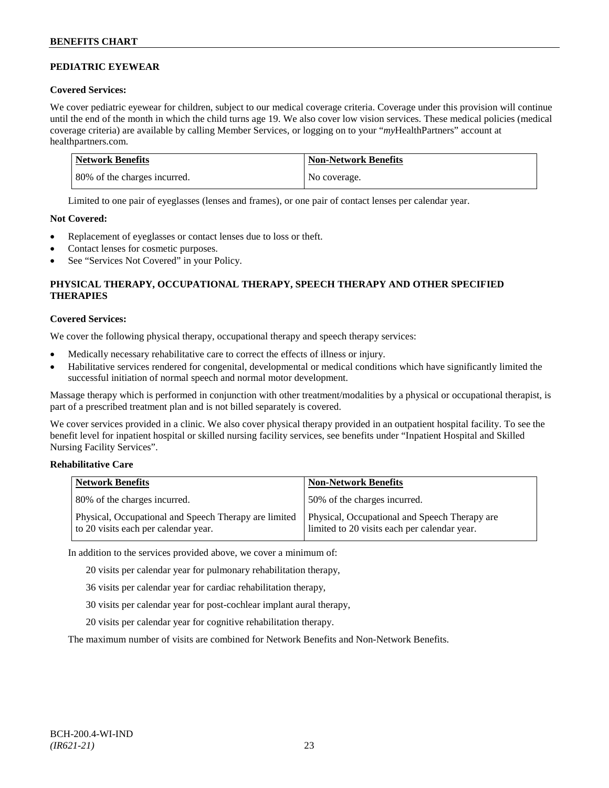# **PEDIATRIC EYEWEAR**

### **Covered Services:**

We cover pediatric eyewear for children, subject to our medical coverage criteria. Coverage under this provision will continue until the end of the month in which the child turns age 19. We also cover low vision services. These medical policies (medical coverage criteria) are available by calling Member Services, or logging on to your "*my*HealthPartners" account at [healthpartners.com.](http://www.healthpartners.com/)

| Network Benefits             | <b>Non-Network Benefits</b> |
|------------------------------|-----------------------------|
| 80% of the charges incurred. | No coverage.                |

Limited to one pair of eyeglasses (lenses and frames), or one pair of contact lenses per calendar year.

### **Not Covered:**

- Replacement of eyeglasses or contact lenses due to loss or theft.
- Contact lenses for cosmetic purposes.
- See "Services Not Covered" in your Policy.

# **PHYSICAL THERAPY, OCCUPATIONAL THERAPY, SPEECH THERAPY AND OTHER SPECIFIED THERAPIES**

### **Covered Services:**

We cover the following physical therapy, occupational therapy and speech therapy services:

- Medically necessary rehabilitative care to correct the effects of illness or injury.
- Habilitative services rendered for congenital, developmental or medical conditions which have significantly limited the successful initiation of normal speech and normal motor development.

Massage therapy which is performed in conjunction with other treatment/modalities by a physical or occupational therapist, is part of a prescribed treatment plan and is not billed separately is covered.

We cover services provided in a clinic. We also cover physical therapy provided in an outpatient hospital facility. To see the benefit level for inpatient hospital or skilled nursing facility services, see benefits under "Inpatient Hospital and Skilled Nursing Facility Services".

### **Rehabilitative Care**

| <b>Network Benefits</b>                                                                       | <b>Non-Network Benefits</b>                                                                   |
|-----------------------------------------------------------------------------------------------|-----------------------------------------------------------------------------------------------|
| 80% of the charges incurred.                                                                  | 50% of the charges incurred.                                                                  |
| Physical, Occupational and Speech Therapy are limited<br>to 20 visits each per calendar year. | Physical, Occupational and Speech Therapy are<br>limited to 20 visits each per calendar year. |

In addition to the services provided above, we cover a minimum of:

20 visits per calendar year for pulmonary rehabilitation therapy,

- 36 visits per calendar year for cardiac rehabilitation therapy,
- 30 visits per calendar year for post-cochlear implant aural therapy,
- 20 visits per calendar year for cognitive rehabilitation therapy.

The maximum number of visits are combined for Network Benefits and Non-Network Benefits.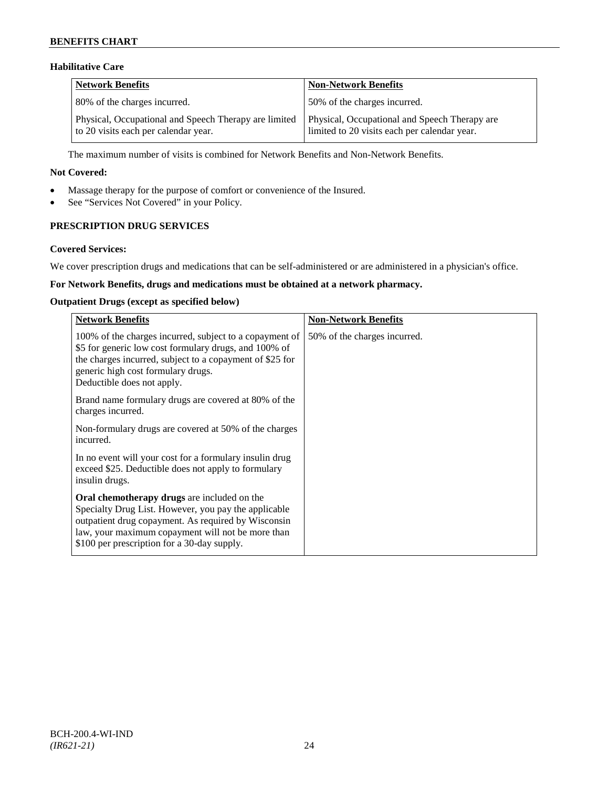### **Habilitative Care**

| <b>Network Benefits</b>                                                                       | <b>Non-Network Benefits</b>                                                                   |
|-----------------------------------------------------------------------------------------------|-----------------------------------------------------------------------------------------------|
| 80% of the charges incurred.                                                                  | 50% of the charges incurred.                                                                  |
| Physical, Occupational and Speech Therapy are limited<br>to 20 visits each per calendar year. | Physical, Occupational and Speech Therapy are<br>limited to 20 visits each per calendar year. |

The maximum number of visits is combined for Network Benefits and Non-Network Benefits.

#### **Not Covered:**

- Massage therapy for the purpose of comfort or convenience of the Insured.
- See "Services Not Covered" in your Policy.

# **PRESCRIPTION DRUG SERVICES**

#### **Covered Services:**

We cover prescription drugs and medications that can be self-administered or are administered in a physician's office.

# **For Network Benefits, drugs and medications must be obtained at a network pharmacy.**

#### **Outpatient Drugs (except as specified below)**

| <b>Network Benefits</b>                                                                                                                                                                                                                                               | <b>Non-Network Benefits</b>  |
|-----------------------------------------------------------------------------------------------------------------------------------------------------------------------------------------------------------------------------------------------------------------------|------------------------------|
| 100% of the charges incurred, subject to a copayment of<br>\$5 for generic low cost formulary drugs, and 100% of<br>the charges incurred, subject to a copayment of \$25 for<br>generic high cost formulary drugs.<br>Deductible does not apply.                      | 50% of the charges incurred. |
| Brand name formulary drugs are covered at 80% of the<br>charges incurred.                                                                                                                                                                                             |                              |
| Non-formulary drugs are covered at 50% of the charges<br>incurred.                                                                                                                                                                                                    |                              |
| In no event will your cost for a formulary insulin drug<br>exceed \$25. Deductible does not apply to formulary<br>insulin drugs.                                                                                                                                      |                              |
| <b>Oral chemotherapy drugs</b> are included on the<br>Specialty Drug List. However, you pay the applicable<br>outpatient drug copayment. As required by Wisconsin<br>law, your maximum copayment will not be more than<br>\$100 per prescription for a 30-day supply. |                              |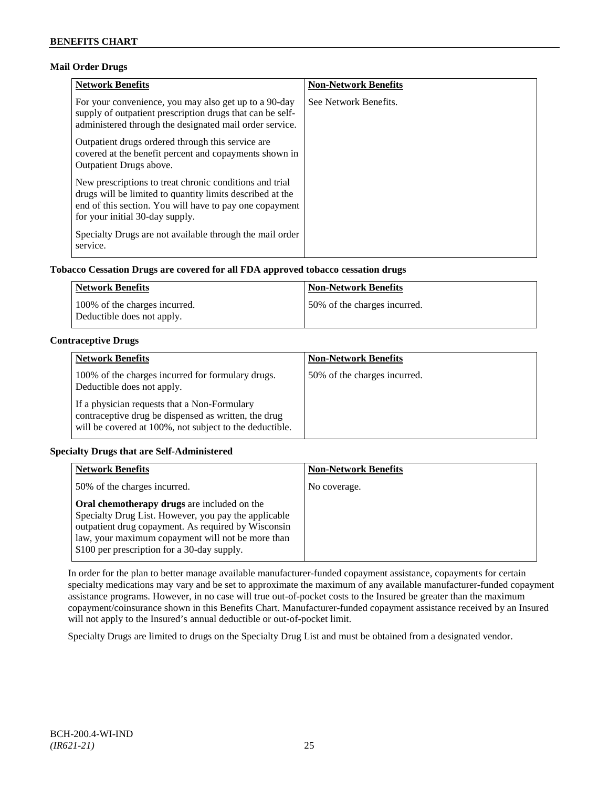# **Mail Order Drugs**

| <b>Network Benefits</b>                                                                                                                                                                                            | <b>Non-Network Benefits</b> |
|--------------------------------------------------------------------------------------------------------------------------------------------------------------------------------------------------------------------|-----------------------------|
| For your convenience, you may also get up to a 90-day<br>supply of outpatient prescription drugs that can be self-<br>administered through the designated mail order service.                                      | See Network Benefits.       |
| Outpatient drugs ordered through this service are.<br>covered at the benefit percent and copayments shown in<br><b>Outpatient Drugs above.</b>                                                                     |                             |
| New prescriptions to treat chronic conditions and trial<br>drugs will be limited to quantity limits described at the<br>end of this section. You will have to pay one copayment<br>for your initial 30-day supply. |                             |
| Specialty Drugs are not available through the mail order<br>service.                                                                                                                                               |                             |

# **Tobacco Cessation Drugs are covered for all FDA approved tobacco cessation drugs**

| Network Benefits                                            | <b>Non-Network Benefits</b>  |
|-------------------------------------------------------------|------------------------------|
| 100% of the charges incurred.<br>Deductible does not apply. | 50% of the charges incurred. |

# **Contraceptive Drugs**

| <b>Network Benefits</b>                                                                                                                                         | <b>Non-Network Benefits</b>  |
|-----------------------------------------------------------------------------------------------------------------------------------------------------------------|------------------------------|
| 100% of the charges incurred for formulary drugs.<br>Deductible does not apply.                                                                                 | 50% of the charges incurred. |
| If a physician requests that a Non-Formulary<br>contraceptive drug be dispensed as written, the drug<br>will be covered at 100%, not subject to the deductible. |                              |

### **Specialty Drugs that are Self-Administered**

| <b>Network Benefits</b>                                                                                                                                                                                                                                        | <b>Non-Network Benefits</b> |
|----------------------------------------------------------------------------------------------------------------------------------------------------------------------------------------------------------------------------------------------------------------|-----------------------------|
| 50% of the charges incurred.                                                                                                                                                                                                                                   | No coverage.                |
| Oral chemotherapy drugs are included on the<br>Specialty Drug List. However, you pay the applicable<br>outpatient drug copayment. As required by Wisconsin<br>law, your maximum copayment will not be more than<br>\$100 per prescription for a 30-day supply. |                             |

In order for the plan to better manage available manufacturer-funded copayment assistance, copayments for certain specialty medications may vary and be set to approximate the maximum of any available manufacturer-funded copayment assistance programs. However, in no case will true out-of-pocket costs to the Insured be greater than the maximum copayment/coinsurance shown in this Benefits Chart. Manufacturer-funded copayment assistance received by an Insured will not apply to the Insured's annual deductible or out-of-pocket limit.

Specialty Drugs are limited to drugs on the Specialty Drug List and must be obtained from a designated vendor.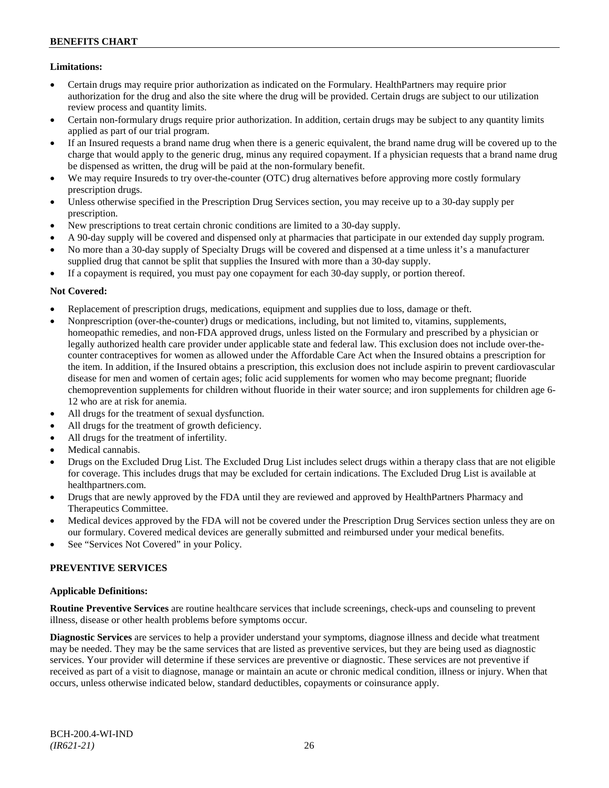# **Limitations:**

- Certain drugs may require prior authorization as indicated on the Formulary. HealthPartners may require prior authorization for the drug and also the site where the drug will be provided. Certain drugs are subject to our utilization review process and quantity limits.
- Certain non-formulary drugs require prior authorization. In addition, certain drugs may be subject to any quantity limits applied as part of our trial program.
- If an Insured requests a brand name drug when there is a generic equivalent, the brand name drug will be covered up to the charge that would apply to the generic drug, minus any required copayment. If a physician requests that a brand name drug be dispensed as written, the drug will be paid at the non-formulary benefit.
- We may require Insureds to try over-the-counter (OTC) drug alternatives before approving more costly formulary prescription drugs.
- Unless otherwise specified in the Prescription Drug Services section, you may receive up to a 30-day supply per prescription.
- New prescriptions to treat certain chronic conditions are limited to a 30-day supply.
- A 90-day supply will be covered and dispensed only at pharmacies that participate in our extended day supply program.
- No more than a 30-day supply of Specialty Drugs will be covered and dispensed at a time unless it's a manufacturer supplied drug that cannot be split that supplies the Insured with more than a 30-day supply.
- If a copayment is required, you must pay one copayment for each 30-day supply, or portion thereof.

# **Not Covered:**

- Replacement of prescription drugs, medications, equipment and supplies due to loss, damage or theft.
- Nonprescription (over-the-counter) drugs or medications, including, but not limited to, vitamins, supplements, homeopathic remedies, and non-FDA approved drugs, unless listed on the Formulary and prescribed by a physician or legally authorized health care provider under applicable state and federal law. This exclusion does not include over-thecounter contraceptives for women as allowed under the Affordable Care Act when the Insured obtains a prescription for the item. In addition, if the Insured obtains a prescription, this exclusion does not include aspirin to prevent cardiovascular disease for men and women of certain ages; folic acid supplements for women who may become pregnant; fluoride chemoprevention supplements for children without fluoride in their water source; and iron supplements for children age 6- 12 who are at risk for anemia.
- All drugs for the treatment of sexual dysfunction.
- All drugs for the treatment of growth deficiency.
- All drugs for the treatment of infertility.
- Medical cannabis.
- Drugs on the Excluded Drug List. The Excluded Drug List includes select drugs within a therapy class that are not eligible for coverage. This includes drugs that may be excluded for certain indications. The Excluded Drug List is available at [healthpartners.com.](http://www.healthpartners.com/)
- Drugs that are newly approved by the FDA until they are reviewed and approved by HealthPartners Pharmacy and Therapeutics Committee.
- Medical devices approved by the FDA will not be covered under the Prescription Drug Services section unless they are on our formulary. Covered medical devices are generally submitted and reimbursed under your medical benefits.
- See "Services Not Covered" in your Policy.

### **PREVENTIVE SERVICES**

### **Applicable Definitions:**

**Routine Preventive Services** are routine healthcare services that include screenings, check-ups and counseling to prevent illness, disease or other health problems before symptoms occur.

**Diagnostic Services** are services to help a provider understand your symptoms, diagnose illness and decide what treatment may be needed. They may be the same services that are listed as preventive services, but they are being used as diagnostic services. Your provider will determine if these services are preventive or diagnostic. These services are not preventive if received as part of a visit to diagnose, manage or maintain an acute or chronic medical condition, illness or injury. When that occurs, unless otherwise indicated below, standard deductibles, copayments or coinsurance apply.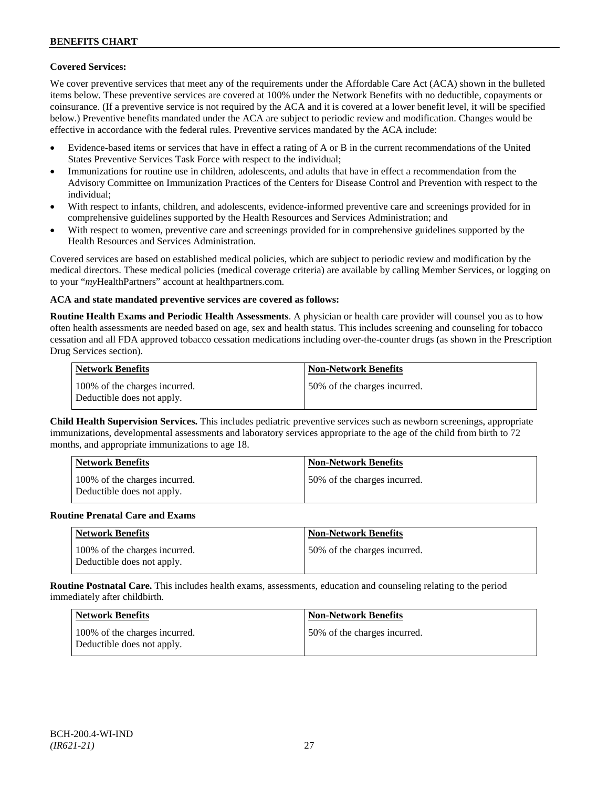### **Covered Services:**

We cover preventive services that meet any of the requirements under the Affordable Care Act (ACA) shown in the bulleted items below. These preventive services are covered at 100% under the Network Benefits with no deductible, copayments or coinsurance. (If a preventive service is not required by the ACA and it is covered at a lower benefit level, it will be specified below.) Preventive benefits mandated under the ACA are subject to periodic review and modification. Changes would be effective in accordance with the federal rules. Preventive services mandated by the ACA include:

- Evidence-based items or services that have in effect a rating of A or B in the current recommendations of the United States Preventive Services Task Force with respect to the individual;
- Immunizations for routine use in children, adolescents, and adults that have in effect a recommendation from the Advisory Committee on Immunization Practices of the Centers for Disease Control and Prevention with respect to the individual;
- With respect to infants, children, and adolescents, evidence-informed preventive care and screenings provided for in comprehensive guidelines supported by the Health Resources and Services Administration; and
- With respect to women, preventive care and screenings provided for in comprehensive guidelines supported by the Health Resources and Services Administration.

Covered services are based on established medical policies, which are subject to periodic review and modification by the medical directors. These medical policies (medical coverage criteria) are available by calling Member Services, or logging on to your "*my*HealthPartners" account at [healthpartners.com.](http://www.healthpartners.com/)

### **ACA and state mandated preventive services are covered as follows:**

**Routine Health Exams and Periodic Health Assessments**. A physician or health care provider will counsel you as to how often health assessments are needed based on age, sex and health status. This includes screening and counseling for tobacco cessation and all FDA approved tobacco cessation medications including over-the-counter drugs (as shown in the Prescription Drug Services section).

| <b>Network Benefits</b>                                     | <b>Non-Network Benefits</b>  |
|-------------------------------------------------------------|------------------------------|
| 100% of the charges incurred.<br>Deductible does not apply. | 50% of the charges incurred. |

**Child Health Supervision Services.** This includes pediatric preventive services such as newborn screenings, appropriate immunizations, developmental assessments and laboratory services appropriate to the age of the child from birth to 72 months, and appropriate immunizations to age 18.

| <b>Network Benefits</b>                                     | <b>Non-Network Benefits</b>  |
|-------------------------------------------------------------|------------------------------|
| 100% of the charges incurred.<br>Deductible does not apply. | 50% of the charges incurred. |

#### **Routine Prenatal Care and Exams**

| <b>Network Benefits</b>                                     | <b>Non-Network Benefits</b>  |
|-------------------------------------------------------------|------------------------------|
| 100% of the charges incurred.<br>Deductible does not apply. | 50% of the charges incurred. |

**Routine Postnatal Care.** This includes health exams, assessments, education and counseling relating to the period immediately after childbirth.

| <b>Network Benefits</b>                                     | <b>Non-Network Benefits</b>  |
|-------------------------------------------------------------|------------------------------|
| 100% of the charges incurred.<br>Deductible does not apply. | 50% of the charges incurred. |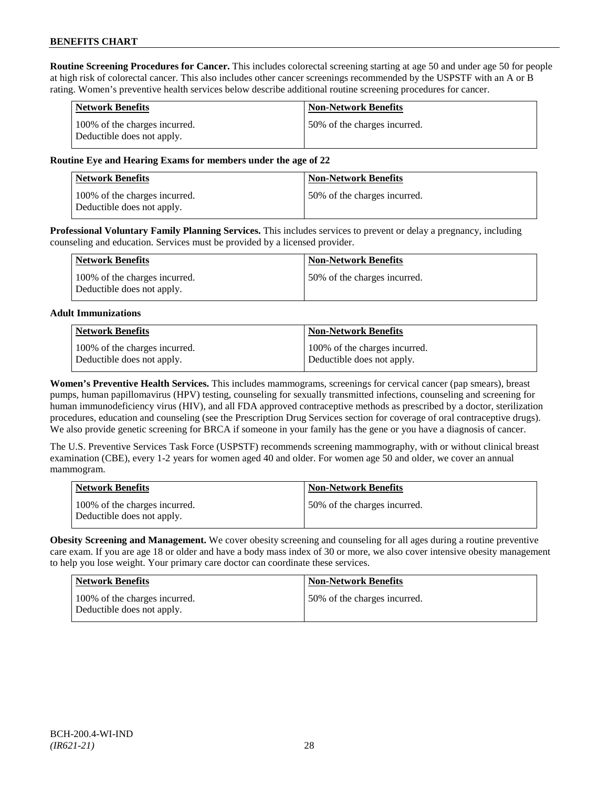**Routine Screening Procedures for Cancer.** This includes colorectal screening starting at age 50 and under age 50 for people at high risk of colorectal cancer. This also includes other cancer screenings recommended by the USPSTF with an A or B rating. Women's preventive health services below describe additional routine screening procedures for cancer.

| <b>Network Benefits</b>                                     | <b>Non-Network Benefits</b>  |
|-------------------------------------------------------------|------------------------------|
| 100% of the charges incurred.<br>Deductible does not apply. | 50% of the charges incurred. |

### **Routine Eye and Hearing Exams for members under the age of 22**

| <b>Network Benefits</b>                                     | <b>Non-Network Benefits</b>  |
|-------------------------------------------------------------|------------------------------|
| 100% of the charges incurred.<br>Deductible does not apply. | 50% of the charges incurred. |

**Professional Voluntary Family Planning Services.** This includes services to prevent or delay a pregnancy, including counseling and education. Services must be provided by a licensed provider.

| Network Benefits                                            | <b>Non-Network Benefits</b>   |
|-------------------------------------------------------------|-------------------------------|
| 100% of the charges incurred.<br>Deductible does not apply. | 150% of the charges incurred. |

#### **Adult Immunizations**

| Network Benefits              | Non-Network Benefits          |
|-------------------------------|-------------------------------|
| 100% of the charges incurred. | 100% of the charges incurred. |
| Deductible does not apply.    | Deductible does not apply.    |

**Women's Preventive Health Services.** This includes mammograms, screenings for cervical cancer (pap smears), breast pumps, human papillomavirus (HPV) testing, counseling for sexually transmitted infections, counseling and screening for human immunodeficiency virus (HIV), and all FDA approved contraceptive methods as prescribed by a doctor, sterilization procedures, education and counseling (see the Prescription Drug Services section for coverage of oral contraceptive drugs). We also provide genetic screening for BRCA if someone in your family has the gene or you have a diagnosis of cancer.

The U.S. Preventive Services Task Force (USPSTF) recommends screening mammography, with or without clinical breast examination (CBE), every 1-2 years for women aged 40 and older. For women age 50 and older, we cover an annual mammogram.

| <b>Network Benefits</b>                                     | <b>Non-Network Benefits</b>  |
|-------------------------------------------------------------|------------------------------|
| 100% of the charges incurred.<br>Deductible does not apply. | 50% of the charges incurred. |

**Obesity Screening and Management.** We cover obesity screening and counseling for all ages during a routine preventive care exam. If you are age 18 or older and have a body mass index of 30 or more, we also cover intensive obesity management to help you lose weight. Your primary care doctor can coordinate these services.

| <b>Network Benefits</b>                                     | <b>Non-Network Benefits</b>  |
|-------------------------------------------------------------|------------------------------|
| 100% of the charges incurred.<br>Deductible does not apply. | 50% of the charges incurred. |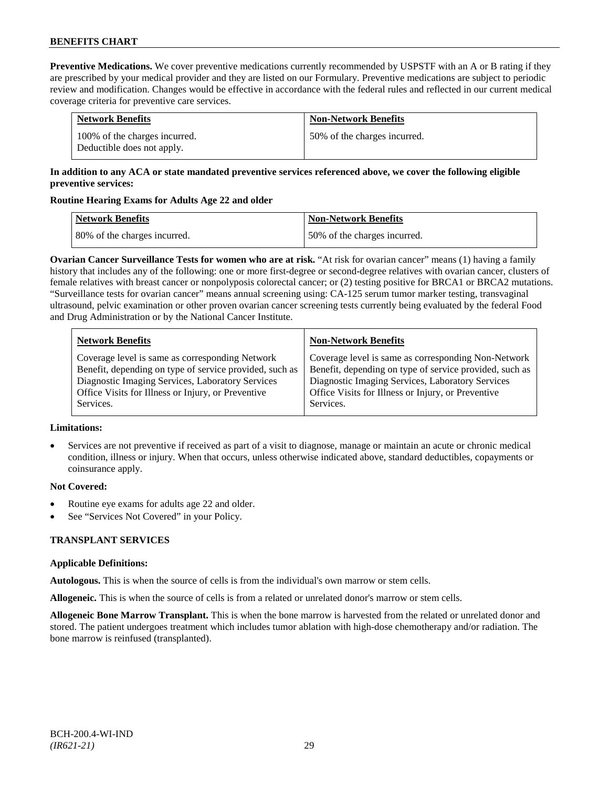**Preventive Medications.** We cover preventive medications currently recommended by USPSTF with an A or B rating if they are prescribed by your medical provider and they are listed on our Formulary. Preventive medications are subject to periodic review and modification. Changes would be effective in accordance with the federal rules and reflected in our current medical coverage criteria for preventive care services.

| <b>Network Benefits</b>                                     | <b>Non-Network Benefits</b>  |
|-------------------------------------------------------------|------------------------------|
| 100% of the charges incurred.<br>Deductible does not apply. | 50% of the charges incurred. |

### **In addition to any ACA or state mandated preventive services referenced above, we cover the following eligible preventive services:**

### **Routine Hearing Exams for Adults Age 22 and older**

| <b>Network Benefits</b>      | <b>Non-Network Benefits</b>  |
|------------------------------|------------------------------|
| 80% of the charges incurred. | 50% of the charges incurred. |

**Ovarian Cancer Surveillance Tests for women who are at risk.** "At risk for ovarian cancer" means (1) having a family history that includes any of the following: one or more first-degree or second-degree relatives with ovarian cancer, clusters of female relatives with breast cancer or nonpolyposis colorectal cancer; or (2) testing positive for BRCA1 or BRCA2 mutations. "Surveillance tests for ovarian cancer" means annual screening using: CA-125 serum tumor marker testing, transvaginal ultrasound, pelvic examination or other proven ovarian cancer screening tests currently being evaluated by the federal Food and Drug Administration or by the National Cancer Institute.

| <b>Network Benefits</b>                                 | <b>Non-Network Benefits</b>                             |
|---------------------------------------------------------|---------------------------------------------------------|
| Coverage level is same as corresponding Network         | Coverage level is same as corresponding Non-Network     |
| Benefit, depending on type of service provided, such as | Benefit, depending on type of service provided, such as |
| Diagnostic Imaging Services, Laboratory Services        | Diagnostic Imaging Services, Laboratory Services        |
| Office Visits for Illness or Injury, or Preventive      | Office Visits for Illness or Injury, or Preventive      |
| Services.                                               | Services.                                               |

### **Limitations:**

• Services are not preventive if received as part of a visit to diagnose, manage or maintain an acute or chronic medical condition, illness or injury. When that occurs, unless otherwise indicated above, standard deductibles, copayments or coinsurance apply.

### **Not Covered:**

- Routine eye exams for adults age 22 and older.
- See "Services Not Covered" in your Policy.

# **TRANSPLANT SERVICES**

### **Applicable Definitions:**

**Autologous.** This is when the source of cells is from the individual's own marrow or stem cells.

**Allogeneic.** This is when the source of cells is from a related or unrelated donor's marrow or stem cells.

**Allogeneic Bone Marrow Transplant.** This is when the bone marrow is harvested from the related or unrelated donor and stored. The patient undergoes treatment which includes tumor ablation with high-dose chemotherapy and/or radiation. The bone marrow is reinfused (transplanted).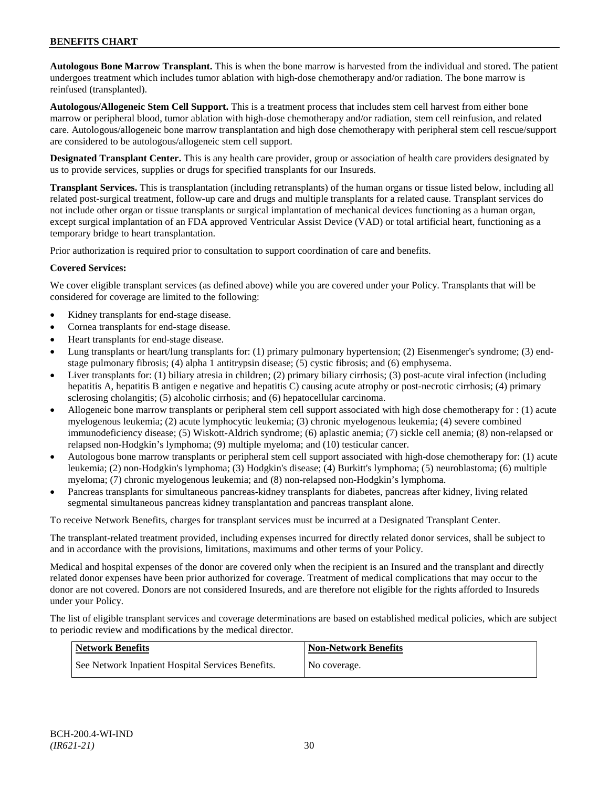**Autologous Bone Marrow Transplant.** This is when the bone marrow is harvested from the individual and stored. The patient undergoes treatment which includes tumor ablation with high-dose chemotherapy and/or radiation. The bone marrow is reinfused (transplanted).

**Autologous/Allogeneic Stem Cell Support.** This is a treatment process that includes stem cell harvest from either bone marrow or peripheral blood, tumor ablation with high-dose chemotherapy and/or radiation, stem cell reinfusion, and related care. Autologous/allogeneic bone marrow transplantation and high dose chemotherapy with peripheral stem cell rescue/support are considered to be autologous/allogeneic stem cell support.

**Designated Transplant Center.** This is any health care provider, group or association of health care providers designated by us to provide services, supplies or drugs for specified transplants for our Insureds.

**Transplant Services.** This is transplantation (including retransplants) of the human organs or tissue listed below, including all related post-surgical treatment, follow-up care and drugs and multiple transplants for a related cause. Transplant services do not include other organ or tissue transplants or surgical implantation of mechanical devices functioning as a human organ, except surgical implantation of an FDA approved Ventricular Assist Device (VAD) or total artificial heart, functioning as a temporary bridge to heart transplantation.

Prior authorization is required prior to consultation to support coordination of care and benefits.

### **Covered Services:**

We cover eligible transplant services (as defined above) while you are covered under your Policy. Transplants that will be considered for coverage are limited to the following:

- Kidney transplants for end-stage disease.
- Cornea transplants for end-stage disease.
- Heart transplants for end-stage disease.
- Lung transplants or heart/lung transplants for: (1) primary pulmonary hypertension; (2) Eisenmenger's syndrome; (3) endstage pulmonary fibrosis; (4) alpha 1 antitrypsin disease; (5) cystic fibrosis; and (6) emphysema.
- Liver transplants for: (1) biliary atresia in children; (2) primary biliary cirrhosis; (3) post-acute viral infection (including hepatitis A, hepatitis B antigen e negative and hepatitis C) causing acute atrophy or post-necrotic cirrhosis; (4) primary sclerosing cholangitis; (5) alcoholic cirrhosis; and (6) hepatocellular carcinoma.
- Allogeneic bone marrow transplants or peripheral stem cell support associated with high dose chemotherapy for : (1) acute myelogenous leukemia; (2) acute lymphocytic leukemia; (3) chronic myelogenous leukemia; (4) severe combined immunodeficiency disease; (5) Wiskott-Aldrich syndrome; (6) aplastic anemia; (7) sickle cell anemia; (8) non-relapsed or relapsed non-Hodgkin's lymphoma; (9) multiple myeloma; and (10) testicular cancer.
- Autologous bone marrow transplants or peripheral stem cell support associated with high-dose chemotherapy for: (1) acute leukemia; (2) non-Hodgkin's lymphoma; (3) Hodgkin's disease; (4) Burkitt's lymphoma; (5) neuroblastoma; (6) multiple myeloma; (7) chronic myelogenous leukemia; and (8) non-relapsed non-Hodgkin's lymphoma.
- Pancreas transplants for simultaneous pancreas-kidney transplants for diabetes, pancreas after kidney, living related segmental simultaneous pancreas kidney transplantation and pancreas transplant alone.

To receive Network Benefits, charges for transplant services must be incurred at a Designated Transplant Center.

The transplant-related treatment provided, including expenses incurred for directly related donor services, shall be subject to and in accordance with the provisions, limitations, maximums and other terms of your Policy.

Medical and hospital expenses of the donor are covered only when the recipient is an Insured and the transplant and directly related donor expenses have been prior authorized for coverage. Treatment of medical complications that may occur to the donor are not covered. Donors are not considered Insureds, and are therefore not eligible for the rights afforded to Insureds under your Policy.

The list of eligible transplant services and coverage determinations are based on established medical policies, which are subject to periodic review and modifications by the medical director.

| Network Benefits                                  | <b>Non-Network Benefits</b> |
|---------------------------------------------------|-----------------------------|
| See Network Inpatient Hospital Services Benefits. | No coverage.                |